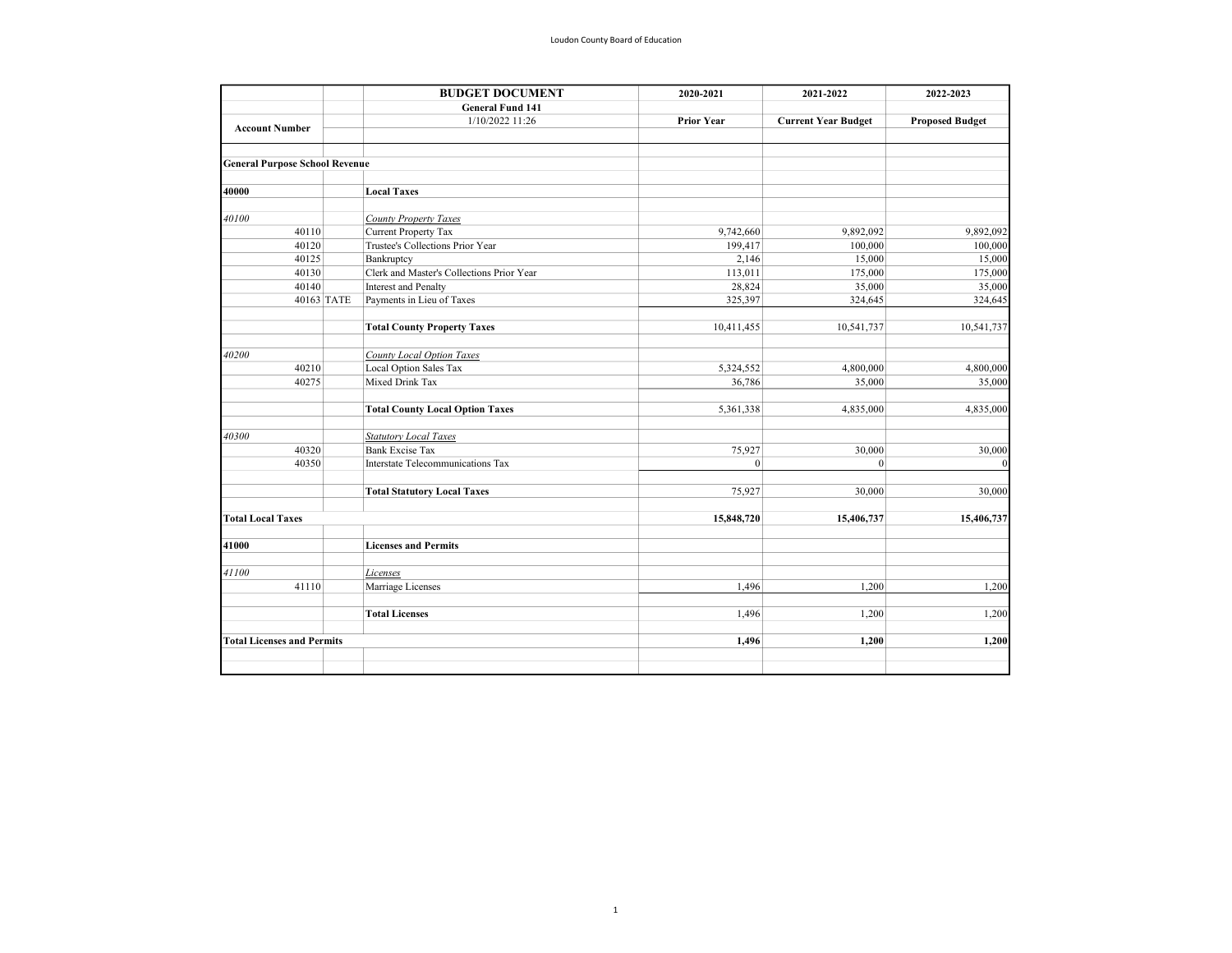|                                       | <b>BUDGET DOCUMENT</b> | 2020-2021                                                | 2021-2022         | 2022-2023                  |                        |
|---------------------------------------|------------------------|----------------------------------------------------------|-------------------|----------------------------|------------------------|
|                                       |                        | <b>General Fund 141</b>                                  |                   |                            |                        |
| <b>Account Number</b>                 |                        | 1/10/2022 11:26                                          | <b>Prior Year</b> | <b>Current Year Budget</b> | <b>Proposed Budget</b> |
| <b>General Purpose School Revenue</b> |                        |                                                          |                   |                            |                        |
| 40000                                 |                        | <b>Local Taxes</b>                                       |                   |                            |                        |
| 40100                                 |                        | County Property Taxes                                    |                   |                            |                        |
| 40110                                 |                        | Current Property Tax                                     | 9,742,660         | 9,892,092                  | 9,892,092              |
| 40120                                 |                        | Trustee's Collections Prior Year                         |                   |                            |                        |
| 40125                                 |                        |                                                          | 199,417           | 100,000                    | 100,000                |
| 40130                                 |                        | Bankruptcy<br>Clerk and Master's Collections Prior Year  | 2,146             | 15,000                     | 15,000                 |
|                                       |                        |                                                          | 113,011<br>28,824 | 175,000                    | 175,000<br>35,000      |
| 40140                                 | 40163 TATE             | <b>Interest and Penalty</b><br>Payments in Lieu of Taxes | 325,397           | 35,000<br>324,645          | 324,645                |
|                                       |                        | <b>Total County Property Taxes</b>                       | 10,411,455        | 10,541,737                 | 10,541,737             |
|                                       |                        |                                                          |                   |                            |                        |
| 40200                                 |                        | County Local Option Taxes                                |                   |                            |                        |
| 40210                                 |                        | Local Option Sales Tax                                   | 5,324,552         | 4,800,000                  | 4,800,000              |
| 40275                                 |                        | Mixed Drink Tax                                          | 36,786            | 35,000                     | 35,000                 |
|                                       |                        | <b>Total County Local Option Taxes</b>                   | 5,361,338         | 4,835,000                  | 4,835,000              |
| 40300                                 |                        | <b>Statutory Local Taxes</b>                             |                   |                            |                        |
| 40320                                 |                        | <b>Bank Excise Tax</b>                                   | 75,927            | 30,000                     | 30,000                 |
| 40350                                 |                        | Interstate Telecommunications Tax                        | $\mathbf{0}$      | $\vert$                    | $\theta$               |
|                                       |                        | <b>Total Statutory Local Taxes</b>                       | 75,927            | 30,000                     | 30,000                 |
| <b>Total Local Taxes</b>              |                        |                                                          | 15,848,720        | 15,406,737                 | 15,406,737             |
|                                       |                        |                                                          |                   |                            |                        |
| 41000                                 |                        | <b>Licenses and Permits</b>                              |                   |                            |                        |
| 41100                                 |                        | Licenses                                                 |                   |                            |                        |
| 41110                                 |                        | Marriage Licenses                                        | 1.496             | 1,200                      | 1,200                  |
|                                       |                        | <b>Total Licenses</b>                                    | 1.496             | 1.200                      | 1,200                  |
| <b>Total Licenses and Permits</b>     |                        |                                                          | 1,496             | 1,200                      | 1,200                  |
|                                       |                        |                                                          |                   |                            |                        |
|                                       |                        |                                                          |                   |                            |                        |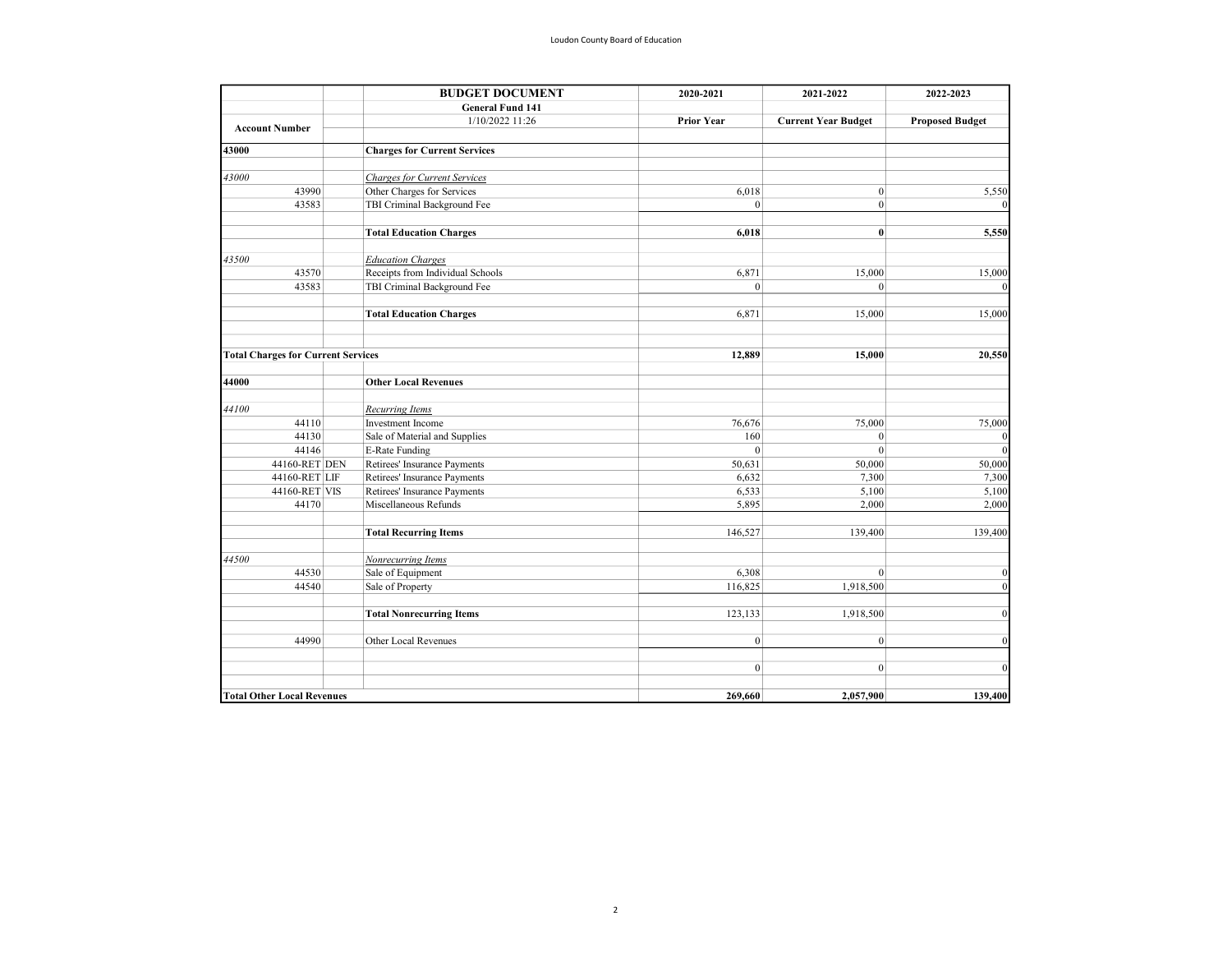|                                           | <b>BUDGET DOCUMENT</b> | 2020-2021                           | 2021-2022         | 2022-2023                  |                        |
|-------------------------------------------|------------------------|-------------------------------------|-------------------|----------------------------|------------------------|
|                                           |                        | <b>General Fund 141</b>             |                   |                            |                        |
| <b>Account Number</b>                     |                        | 1/10/2022 11:26                     | <b>Prior Year</b> | <b>Current Year Budget</b> | <b>Proposed Budget</b> |
|                                           |                        |                                     |                   |                            |                        |
| 43000                                     |                        | <b>Charges for Current Services</b> |                   |                            |                        |
| 43000                                     |                        | <b>Charges for Current Services</b> |                   |                            |                        |
| 43990                                     |                        | Other Charges for Services          | 6,018             | $\vert$                    | 5,550                  |
| 43583                                     |                        | TBI Criminal Background Fee         | $\theta$          | $\vert 0 \vert$            |                        |
|                                           |                        | <b>Total Education Charges</b>      | 6,018             | $\bf{0}$                   | 5,550                  |
| 43500                                     |                        | <b>Education Charges</b>            |                   |                            |                        |
| 43570                                     |                        | Receipts from Individual Schools    | 6,871             | 15,000                     | 15,000                 |
| 43583                                     |                        | TBI Criminal Background Fee         | $\theta$          | $\theta$                   |                        |
|                                           |                        | <b>Total Education Charges</b>      | 6,871             | 15,000                     | 15,000                 |
|                                           |                        |                                     |                   |                            |                        |
| <b>Total Charges for Current Services</b> |                        |                                     | 12,889            | 15,000                     | 20,550                 |
| 44000                                     |                        | <b>Other Local Revenues</b>         |                   |                            |                        |
| 44100                                     |                        | <b>Recurring Items</b>              |                   |                            |                        |
| 44110                                     |                        | Investment Income                   | 76,676            | 75,000                     | 75,000                 |
| 44130                                     |                        | Sale of Material and Supplies       | 160               | $\mathbf{0}$               |                        |
| 44146                                     |                        | <b>E-Rate Funding</b>               | $\mathbf{0}$      | $\mathbf{0}$               |                        |
| 44160-RET DEN                             |                        | Retirees' Insurance Payments        | 50,631            | 50,000                     | 50,000                 |
| 44160-RET LIF                             |                        | Retirees' Insurance Payments        | 6,632             | 7,300                      | 7,300                  |
| 44160-RET VIS                             |                        | Retirees' Insurance Payments        | 6,533             | 5,100                      | 5,100                  |
| 44170                                     |                        | Miscellaneous Refunds               | 5,895             | 2,000                      | 2,000                  |
|                                           |                        | <b>Total Recurring Items</b>        | 146,527           | 139,400                    | 139,400                |
| 44500                                     |                        | Nonrecurring Items                  |                   |                            |                        |
| 44530                                     |                        | Sale of Equipment                   | 6,308             | $\vert 0 \vert$            | $\theta$               |
| 44540                                     |                        | Sale of Property                    | 116,825           | 1,918,500                  | $\Omega$               |
|                                           |                        | <b>Total Nonrecurring Items</b>     | 123,133           | 1,918,500                  | $\Omega$               |
| 44990                                     |                        | Other Local Revenues                | $\boldsymbol{0}$  | $\vert 0 \vert$            | $\mathbf{0}$           |
|                                           |                        |                                     | $\mathbf{0}$      | $\overline{0}$             | $\Omega$               |
| <b>Total Other Local Revenues</b>         |                        |                                     | 269,660           | 2,057,900                  | 139,400                |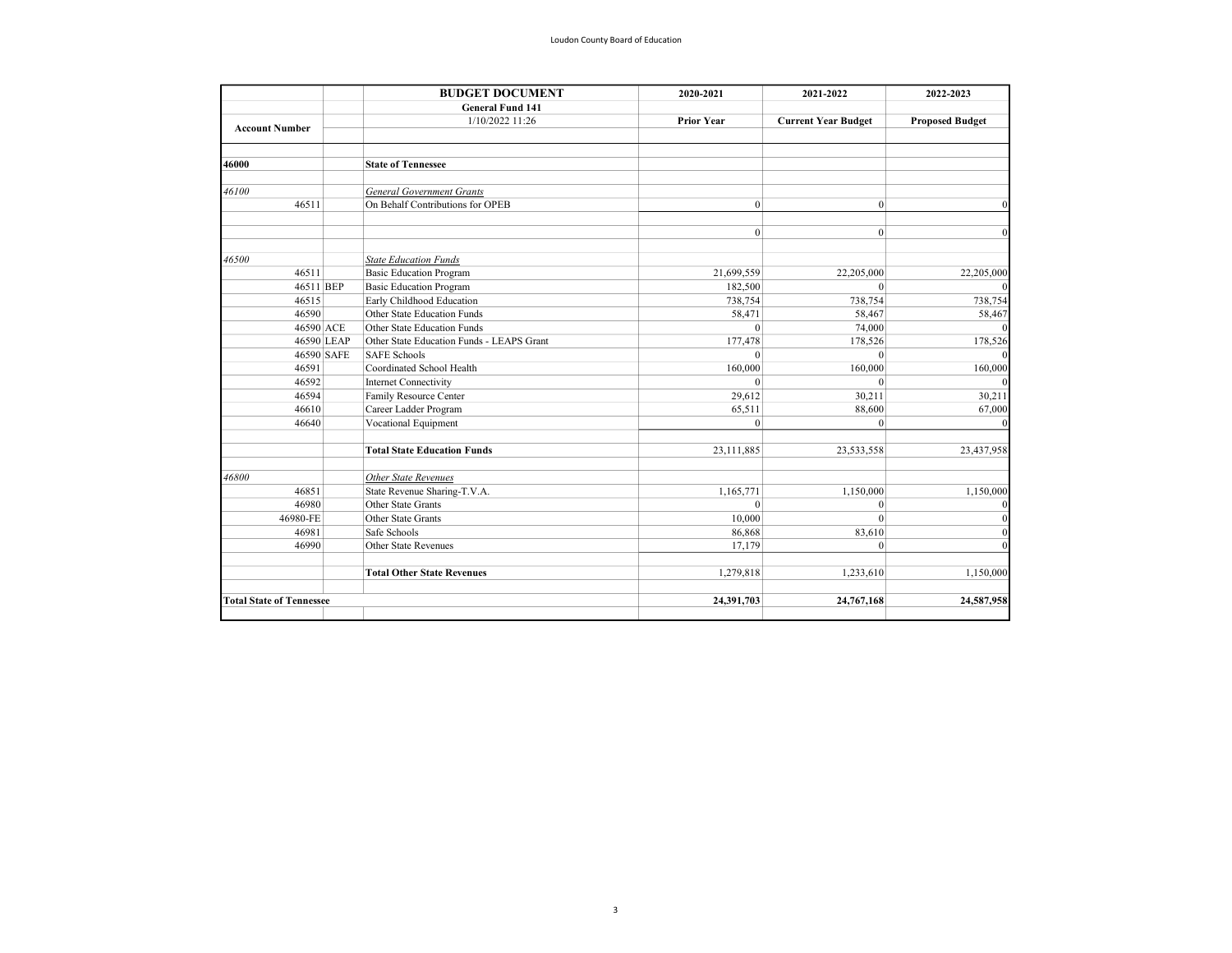|                                 | <b>BUDGET DOCUMENT</b>                    | 2020-2021         | 2021-2022                  | 2022-2023              |
|---------------------------------|-------------------------------------------|-------------------|----------------------------|------------------------|
|                                 | <b>General Fund 141</b>                   |                   |                            |                        |
|                                 | 1/10/2022 11:26                           | <b>Prior Year</b> | <b>Current Year Budget</b> | <b>Proposed Budget</b> |
| <b>Account Number</b>           |                                           |                   |                            |                        |
| 46000                           | <b>State of Tennessee</b>                 |                   |                            |                        |
|                                 |                                           |                   |                            |                        |
| 46100                           | <b>General Government Grants</b>          |                   |                            |                        |
| 46511                           | On Behalf Contributions for OPEB          | $\mathbf{0}$      | $\vert$ 0                  | $\Omega$               |
|                                 |                                           |                   |                            |                        |
|                                 |                                           | $\mathbf{0}$      | $\mathbf{0}$               | $\Omega$               |
| 46500                           | <b>State Education Funds</b>              |                   |                            |                        |
| 46511                           | <b>Basic Education Program</b>            | 21,699,559        | 22,205,000                 | 22,205,000             |
| 46511 BEP                       | <b>Basic Education Program</b>            | 182,500           | $\mathbf{0}$               |                        |
| 46515                           | Early Childhood Education                 | 738,754           | 738,754                    | 738,754                |
| 46590                           | Other State Education Funds               | 58,471            | 58,467                     | 58,467                 |
| 46590 ACE                       | Other State Education Funds               | $\theta$          | 74,000                     |                        |
| 46590 LEAP                      | Other State Education Funds - LEAPS Grant | 177,478           | 178,526                    | 178,526                |
| 46590 SAFE                      | <b>SAFE Schools</b>                       | $\theta$          | $\theta$                   |                        |
| 46591                           | Coordinated School Health                 | 160,000           | 160,000                    | 160,000                |
| 46592                           | <b>Internet Connectivity</b>              | $\Omega$          | $\theta$                   |                        |
| 46594                           | Family Resource Center                    | 29,612            | 30,211                     | 30,211                 |
| 46610                           | Career Ladder Program                     | 65,511            | 88,600                     | 67,000                 |
| 46640                           | Vocational Equipment                      | $\mathbf{0}$      | $\mathbf{0}$               |                        |
|                                 | <b>Total State Education Funds</b>        | 23,111,885        | 23,533,558                 | 23,437,958             |
| 46800                           | Other State Revenues                      |                   |                            |                        |
| 46851                           | State Revenue Sharing-T.V.A.              | 1,165,771         | 1,150,000                  | 1,150,000              |
| 46980                           | Other State Grants                        | $\theta$          | $\theta$                   |                        |
| 46980-FE                        | Other State Grants                        | 10,000            | $\Omega$                   |                        |
| 46981                           | Safe Schools                              | 86,868            | 83,610                     |                        |
| 46990                           | Other State Revenues                      | 17,179            | $\mathbf{0}$               |                        |
|                                 | <b>Total Other State Revenues</b>         | 1,279,818         | 1,233,610                  | 1,150,000              |
|                                 |                                           |                   |                            |                        |
| <b>Total State of Tennessee</b> |                                           | 24,391,703        | 24,767,168                 | 24,587,958             |
|                                 |                                           |                   |                            |                        |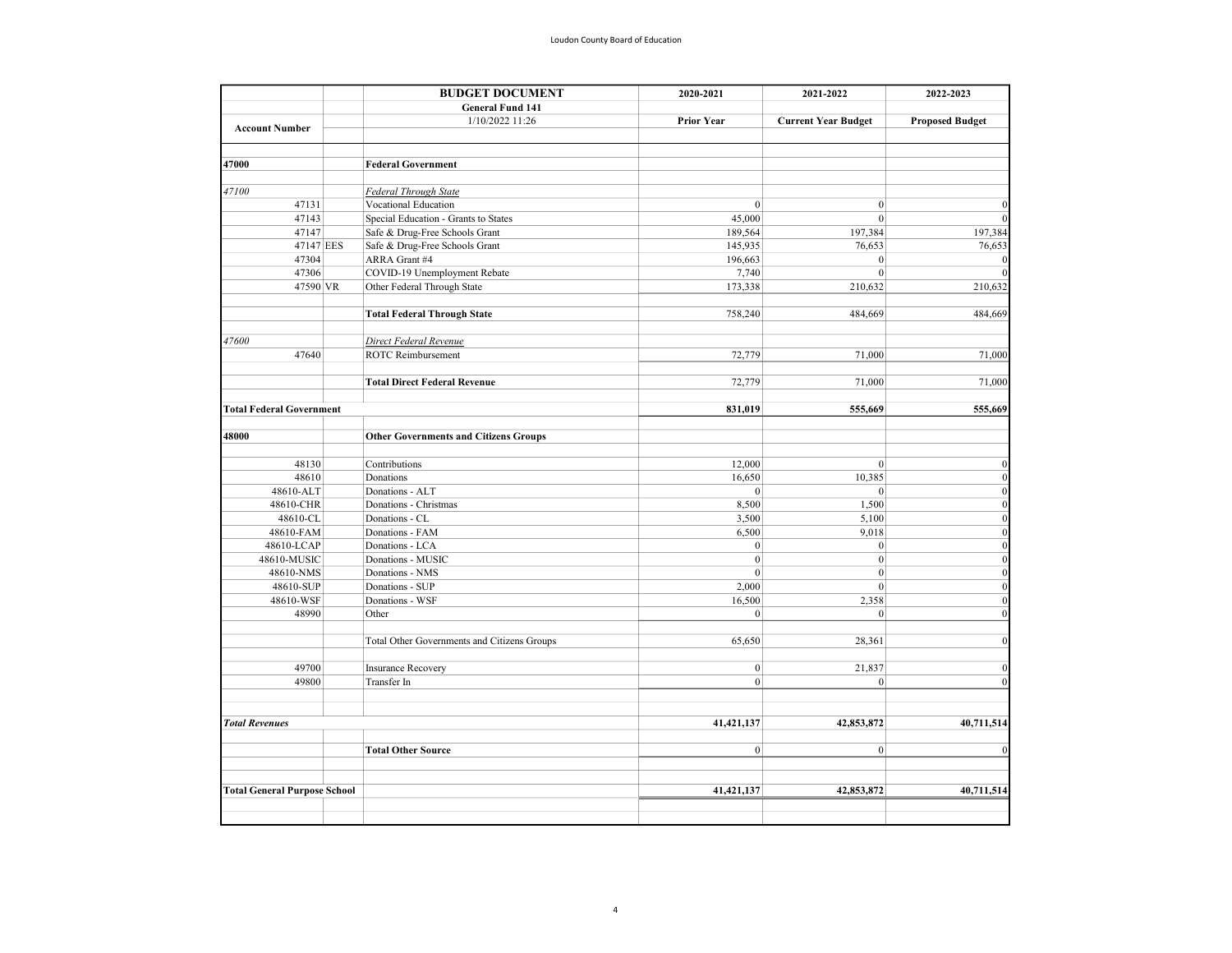|                                     | <b>BUDGET DOCUMENT</b>                       | 2020-2021<br>2021-2022 | 2022-2023                  |                        |
|-------------------------------------|----------------------------------------------|------------------------|----------------------------|------------------------|
|                                     | <b>General Fund 141</b>                      |                        |                            |                        |
|                                     | 1/10/2022 11:26                              | <b>Prior Year</b>      | <b>Current Year Budget</b> | <b>Proposed Budget</b> |
| <b>Account Number</b>               |                                              |                        |                            |                        |
| 47000                               | <b>Federal Government</b>                    |                        |                            |                        |
|                                     |                                              |                        |                            |                        |
| 47100                               | Federal Through State                        |                        |                            |                        |
| 47131                               | Vocational Education                         | $\mathbf{0}$           | $\mathbf{0}$               |                        |
| 47143                               | Special Education - Grants to States         | 45,000                 | $\mathbf{0}$               |                        |
| 47147                               | Safe & Drug-Free Schools Grant               | 189,564                | 197,384                    | 197,384                |
| 47147 EES                           | Safe & Drug-Free Schools Grant               | 145,935                | 76,653                     | 76,653                 |
| 47304                               | ARRA Grant #4                                | 196,663                | $\mathbf{0}$               |                        |
| 47306                               | COVID-19 Unemployment Rebate                 | 7,740                  | $\boldsymbol{0}$           |                        |
| 47590 VR                            | Other Federal Through State                  | 173,338                | 210,632                    | 210,632                |
|                                     | <b>Total Federal Through State</b>           | 758,240                | 484,669                    | 484,669                |
|                                     |                                              |                        |                            |                        |
| 47600                               | Direct Federal Revenue                       |                        |                            |                        |
| 47640                               | <b>ROTC</b> Reimbursement                    | 72,779                 | 71,000                     | 71,000                 |
|                                     | <b>Total Direct Federal Revenue</b>          | 72,779                 | 71,000                     | 71,000                 |
| <b>Total Federal Government</b>     |                                              | 831,019                | 555,669                    | 555,669                |
|                                     |                                              |                        |                            |                        |
| 48000                               | <b>Other Governments and Citizens Groups</b> |                        |                            |                        |
| 48130                               | Contributions                                | 12,000                 | $\boldsymbol{0}$           | $\Omega$               |
| 48610                               | Donations                                    | 16,650                 | 10,385                     | $\mathbf{0}$           |
| 48610-ALT                           | Donations - ALT                              | $\mathbf{0}$           | $\mathbf{0}$               | $\theta$               |
| 48610-CHR                           | Donations - Christmas                        | 8,500                  | 1,500                      | $\Omega$               |
| 48610-CL                            | Donations - CL                               | 3,500                  | 5,100                      | $\mathbf{0}$           |
| 48610-FAM                           | Donations - FAM                              | 6,500                  | 9,018                      | $\mathbf{0}$           |
| 48610-LCAP                          | Donations - LCA                              | $\mathbf{0}$           | $\mathbf{0}$               | $\theta$               |
| 48610-MUSIC                         | Donations - MUSIC                            | $\boldsymbol{0}$       | $\boldsymbol{0}$           | $\mathbf{0}$           |
| 48610-NMS                           | Donations - NMS                              | $\mathbf{0}$           | $\mathbf{0}$               | $\mathbf{0}$           |
| 48610-SUP                           | Donations - SUP                              | 2,000                  | $\mathbf{0}$               | $\mathbf{0}$           |
| 48610-WSF                           | Donations - WSF                              | 16,500                 | 2,358                      | $\Omega$               |
| 48990                               | Other                                        | $\boldsymbol{0}$       | $\boldsymbol{0}$           | $\theta$               |
|                                     | Total Other Governments and Citizens Groups  | 65,650                 | 28,361                     | $\mathbf{0}$           |
| 49700                               |                                              | $\mathbf{0}$           | 21,837                     | $\mathbf{0}$           |
| 49800                               | <b>Insurance Recovery</b><br>Transfer In     | $\mathbf{0}$           | $\mathbf{0}$               | $\Omega$               |
|                                     |                                              |                        |                            |                        |
| <b>Total Revenues</b>               |                                              | 41,421,137             | 42,853,872                 | 40,711,514             |
|                                     |                                              |                        |                            |                        |
|                                     | <b>Total Other Source</b>                    | $\overline{0}$         | $\vert 0 \vert$            | $\Omega$               |
| <b>Total General Purpose School</b> |                                              | 41, 421, 137           | 42,853,872                 | 40,711,514             |
|                                     |                                              |                        |                            |                        |
|                                     |                                              |                        |                            |                        |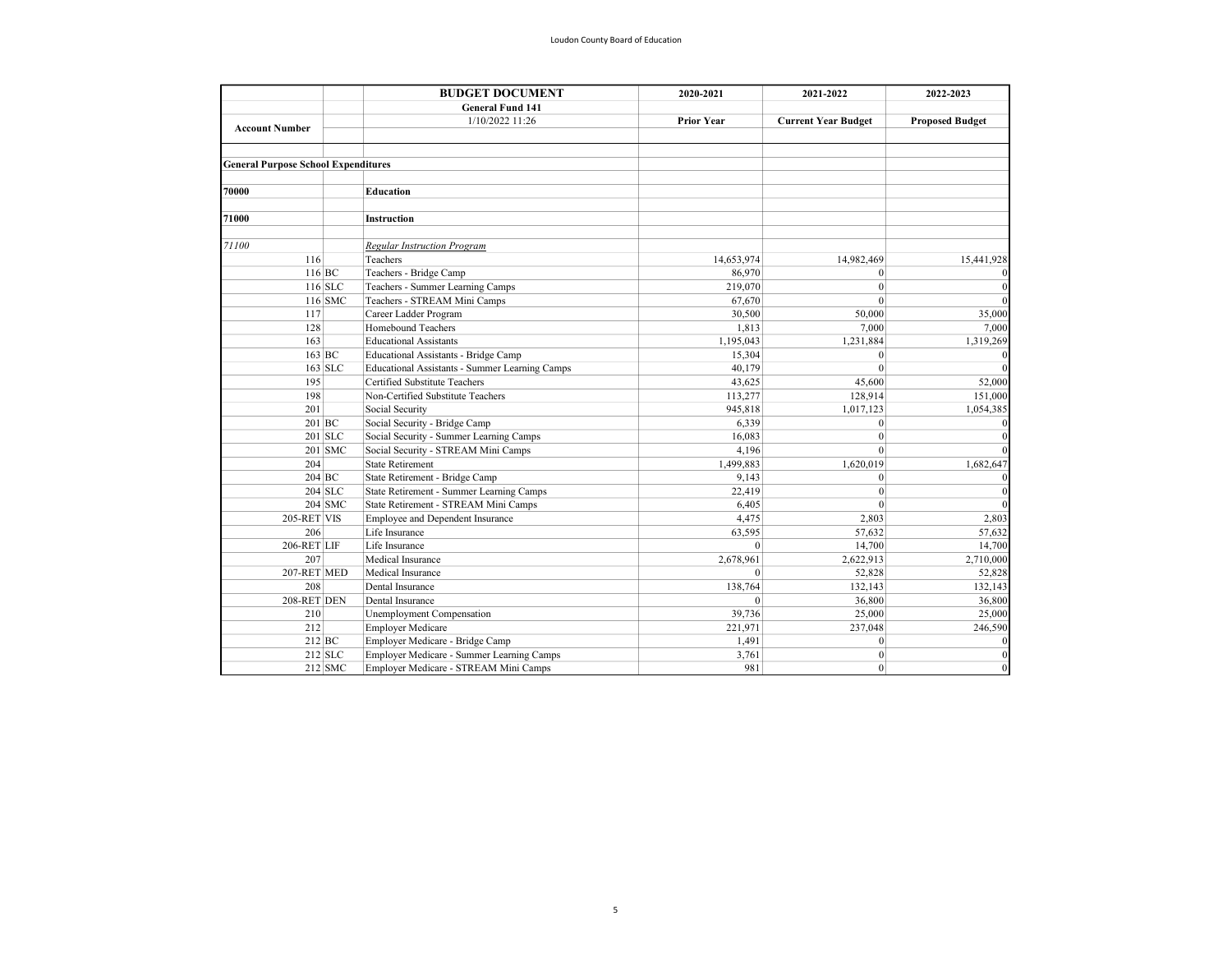|                                            |           | <b>BUDGET DOCUMENT</b>                         | 2020-2021         | 2021-2022                  | 2022-2023              |
|--------------------------------------------|-----------|------------------------------------------------|-------------------|----------------------------|------------------------|
|                                            |           | <b>General Fund 141</b>                        |                   |                            |                        |
|                                            |           | 1/10/2022 11:26                                | <b>Prior Year</b> | <b>Current Year Budget</b> | <b>Proposed Budget</b> |
| <b>Account Number</b>                      |           |                                                |                   |                            |                        |
| <b>General Purpose School Expenditures</b> |           |                                                |                   |                            |                        |
|                                            |           |                                                |                   |                            |                        |
| 70000                                      |           | Education                                      |                   |                            |                        |
| 71000                                      |           | <b>Instruction</b>                             |                   |                            |                        |
| 71100                                      |           | <b>Regular Instruction Program</b>             |                   |                            |                        |
| 116                                        |           | Teachers                                       | 14,653,974        | 14,982,469                 | 15,441,928             |
|                                            | 116 BC    | Teachers - Bridge Camp                         | 86,970            | $\mathbf{0}$               |                        |
|                                            | $116$ SLC | Teachers - Summer Learning Camps               | 219,070           | $\mathbf{0}$               |                        |
|                                            | 116 SMC   | Teachers - STREAM Mini Camps                   | 67,670            | $\mathbf{0}$               |                        |
| 117                                        |           | Career Ladder Program                          | 30,500            | 50,000                     | 35,000                 |
| 128                                        |           | Homebound Teachers                             | 1,813             | 7,000                      | 7,000                  |
| 163                                        |           | <b>Educational Assistants</b>                  | 1,195,043         | 1,231,884                  | 1,319,269              |
|                                            | 163 BC    | Educational Assistants - Bridge Camp           | 15,304            | $\mathbf{0}$               |                        |
|                                            | $163$ SLC | Educational Assistants - Summer Learning Camps | 40,179            | $\theta$                   |                        |
| 195                                        |           | Certified Substitute Teachers                  | 43,625            | 45,600                     | 52,000                 |
| 198                                        |           | Non-Certified Substitute Teachers              | 113,277           | 128,914                    | 151,000                |
| 201                                        |           | Social Security                                | 945,818           | 1,017,123                  | 1,054,385              |
|                                            | 201 BC    | Social Security - Bridge Camp                  | 6,339             | $\mathbf{0}$               |                        |
|                                            | $201$ SLC | Social Security - Summer Learning Camps        | 16,083            | $\theta$                   |                        |
|                                            | $201$ SMC | Social Security - STREAM Mini Camps            | 4,196             | $\theta$                   |                        |
| 204                                        |           | <b>State Retirement</b>                        | 1,499,883         | 1,620,019                  | 1,682,647              |
|                                            | 204 BC    | State Retirement - Bridge Camp                 | 9,143             | $\mathbf{0}$               |                        |
|                                            | $204$ SLC | State Retirement - Summer Learning Camps       | 22,419            | $\theta$                   |                        |
|                                            | $204$ SMC | State Retirement - STREAM Mini Camps           | 6,405             | $\theta$                   |                        |
| 205-RET VIS                                |           | Employee and Dependent Insurance               | 4,475             | 2,803                      | 2,803                  |
| 206                                        |           | Life Insurance                                 | 63,595            | 57,632                     | 57,632                 |
| 206-RET LIF                                |           | Life Insurance                                 | $\theta$          | 14,700                     | 14,700                 |
| 207                                        |           | Medical Insurance                              | 2,678,961         | 2,622,913                  | 2,710,000              |
| 207-RET MED                                |           | Medical Insurance                              | $\mathbf{0}$      | 52,828                     | 52,828                 |
| 208                                        |           | Dental Insurance                               | 138,764           | 132,143                    | 132,143                |
| 208-RET DEN                                |           | Dental Insurance                               | $\theta$          | 36,800                     | 36,800                 |
| 210                                        |           | Unemployment Compensation                      | 39,736            | 25,000                     | 25,000                 |
| 212                                        |           | <b>Employer Medicare</b>                       | 221,971           | 237,048                    | 246,590                |
|                                            | 212 BC    | Employer Medicare - Bridge Camp                | 1,491             | $\mathbf{0}$               |                        |
|                                            | $212$ SLC | Employer Medicare - Summer Learning Camps      | 3,761             | $\mathbf{0}$               | $\Omega$               |
|                                            | $212$ SMC | Employer Medicare - STREAM Mini Camps          | 981               | $\Omega$                   | $\Omega$               |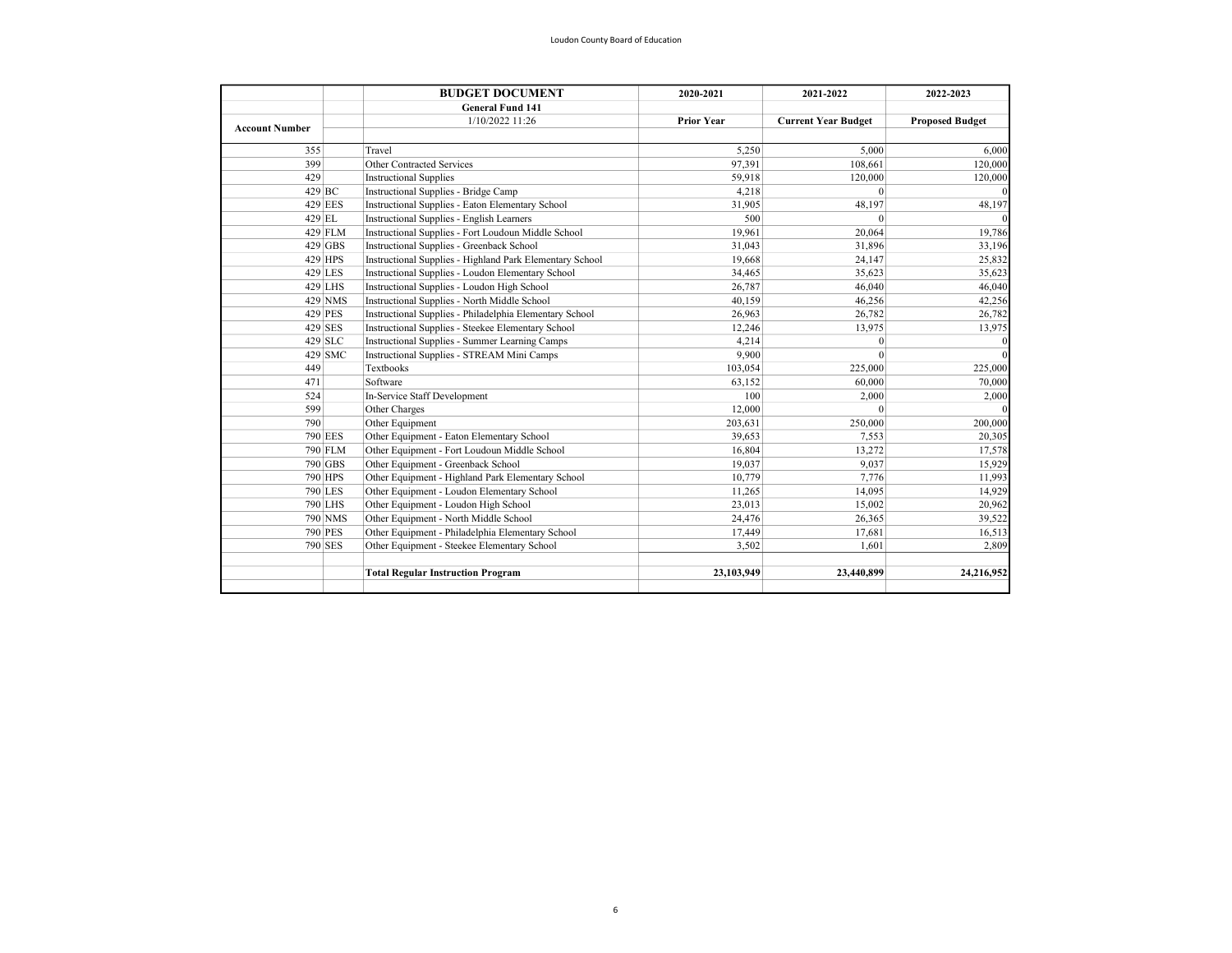|                       |                | <b>BUDGET DOCUMENT</b>                                   | 2020-2021         | 2021-2022                  | 2022-2023              |
|-----------------------|----------------|----------------------------------------------------------|-------------------|----------------------------|------------------------|
|                       |                | <b>General Fund 141</b>                                  |                   |                            |                        |
| <b>Account Number</b> |                | 1/10/2022 11:26                                          | <b>Prior Year</b> | <b>Current Year Budget</b> | <b>Proposed Budget</b> |
|                       |                |                                                          |                   |                            |                        |
| 355                   |                | Travel                                                   | 5,250             | 5,000                      | 6,000                  |
| 399                   |                | Other Contracted Services                                | 97,391            | 108,661                    | 120,000                |
| 429                   |                | <b>Instructional Supplies</b>                            | 59,918            | 120,000                    | 120,000                |
|                       | 429 BC         | Instructional Supplies - Bridge Camp                     | 4,218             | $\mathbf{0}$               |                        |
|                       | 429 EES        | Instructional Supplies - Eaton Elementary School         | 31,905            | 48,197                     | 48,197                 |
|                       | 429 EL         | Instructional Supplies - English Learners                | 500               | $\theta$                   |                        |
|                       | 429 FLM        | Instructional Supplies - Fort Loudoun Middle School      | 19,961            | 20,064                     | 19,786                 |
|                       | 429 GBS        | Instructional Supplies - Greenback School                | 31,043            | 31,896                     | 33,196                 |
|                       | 429 HPS        | Instructional Supplies - Highland Park Elementary School | 19,668            | 24,147                     | 25,832                 |
|                       | 429 LES        | Instructional Supplies - Loudon Elementary School        | 34,465            | 35,623                     | 35,623                 |
|                       | 429 LHS        | Instructional Supplies - Loudon High School              | 26,787            | 46,040                     | 46,040                 |
|                       | 429 NMS        | Instructional Supplies - North Middle School             | 40,159            | 46,256                     | 42,256                 |
|                       | 429 PES        | Instructional Supplies - Philadelphia Elementary School  | 26,963            | 26,782                     | 26,782                 |
|                       | 429 SES        | Instructional Supplies - Steekee Elementary School       | 12,246            | 13,975                     | 13,975                 |
|                       | $429$ SLC      | Instructional Supplies - Summer Learning Camps           | 4,214             | $\mathbf{0}$               |                        |
|                       | $429$ SMC      | Instructional Supplies - STREAM Mini Camps               | 9.900             | $\theta$                   |                        |
| 449                   |                | Textbooks                                                | 103,054           | 225,000                    | 225,000                |
| 471                   |                | Software                                                 | 63,152            | 60,000                     | 70,000                 |
| 524                   |                | In-Service Staff Development                             | 100               | 2,000                      | 2,000                  |
| 599                   |                | Other Charges                                            | 12,000            | $\mathbf{0}$               |                        |
| 790                   |                | Other Equipment                                          | 203,631           | 250,000                    | 200,000                |
|                       | <b>790 EES</b> | Other Equipment - Eaton Elementary School                | 39,653            | 7,553                      | 20,305                 |
|                       | 790 FLM        | Other Equipment - Fort Loudoun Middle School             | 16,804            | 13,272                     | 17,578                 |
|                       | 790 GBS        | Other Equipment - Greenback School                       | 19,037            | 9,037                      | 15,929                 |
|                       | 790 HPS        | Other Equipment - Highland Park Elementary School        | 10,779            | 7,776                      | 11,993                 |
|                       | 790 LES        | Other Equipment - Loudon Elementary School               | 11,265            | 14,095                     | 14,929                 |
|                       | 790 LHS        | Other Equipment - Loudon High School                     | 23,013            | 15,002                     | 20,962                 |
|                       | 790 NMS        | Other Equipment - North Middle School                    | 24,476            | 26,365                     | 39,522                 |
|                       | <b>790 PES</b> | Other Equipment - Philadelphia Elementary School         | 17,449            | 17,681                     | 16,513                 |
|                       | 790 SES        | Other Equipment - Steekee Elementary School              | 3,502             | 1,601                      | 2,809                  |
|                       |                |                                                          |                   |                            |                        |
|                       |                | <b>Total Regular Instruction Program</b>                 | 23,103,949        | 23,440,899                 | 24,216,952             |
|                       |                |                                                          |                   |                            |                        |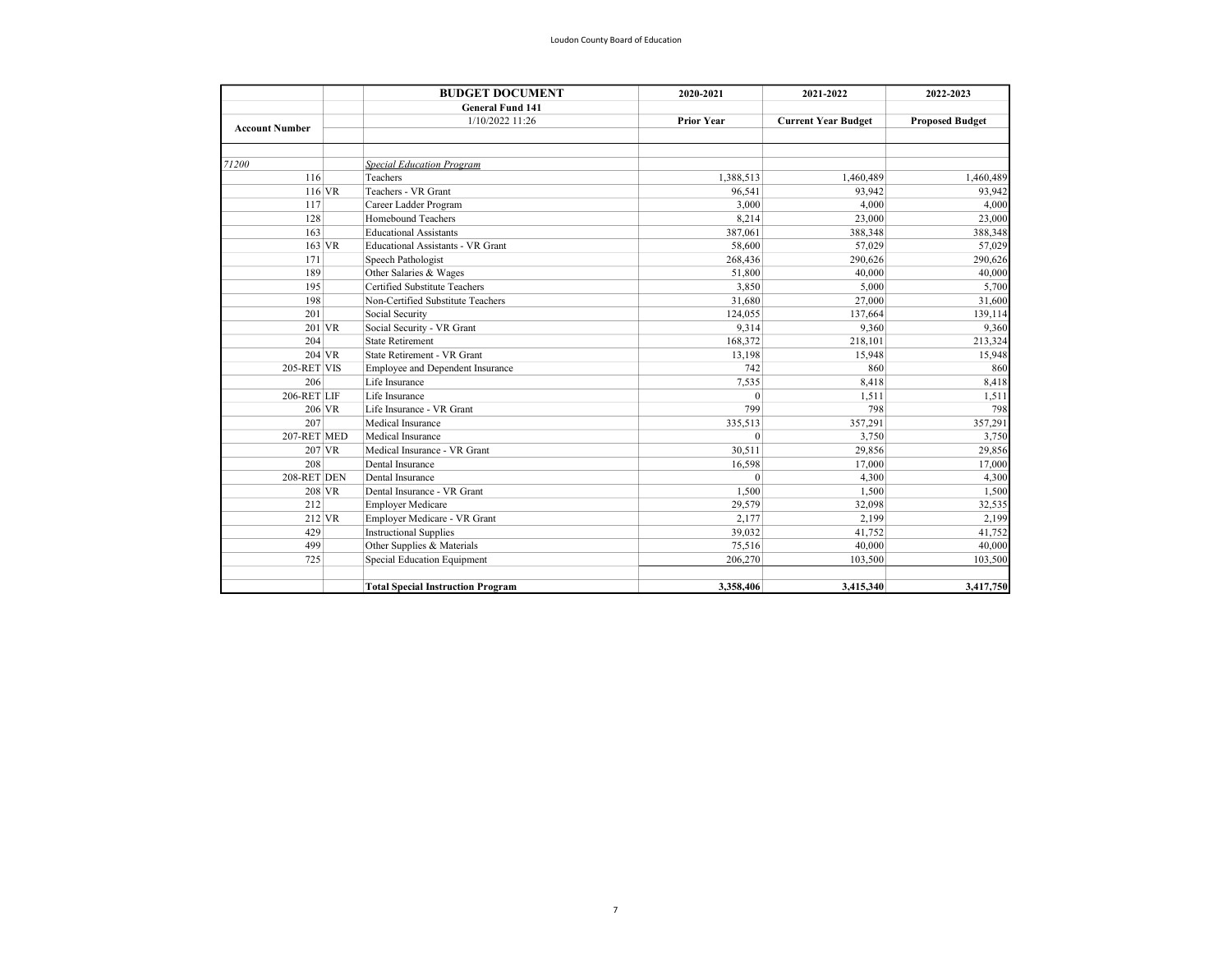|                       | <b>BUDGET DOCUMENT</b>                   | 2020-2021         | 2021-2022                  | 2022-2023              |  |
|-----------------------|------------------------------------------|-------------------|----------------------------|------------------------|--|
|                       | <b>General Fund 141</b>                  |                   |                            |                        |  |
| <b>Account Number</b> | 1/10/2022 11:26                          | <b>Prior Year</b> | <b>Current Year Budget</b> | <b>Proposed Budget</b> |  |
|                       |                                          |                   |                            |                        |  |
| 71200                 | <b>Special Education Program</b>         |                   |                            |                        |  |
| 116                   | Teachers                                 | 1,388,513         | 1,460,489                  | 1,460,489              |  |
| $116$ VR              | Teachers - VR Grant                      | 96,541            | 93,942                     | 93.942                 |  |
| 117                   | Career Ladder Program                    | 3.000             | 4,000                      | 4.000                  |  |
| 128                   | Homebound Teachers                       | 8,214             | 23,000                     | 23,000                 |  |
| 163                   | <b>Educational Assistants</b>            | 387,061           | 388,348                    | 388,348                |  |
| 163 VR                | <b>Educational Assistants - VR Grant</b> | 58,600            | 57,029                     | 57,029                 |  |
| 171                   | Speech Pathologist                       | 268,436           | 290,626                    | 290,626                |  |
| 189                   | Other Salaries & Wages                   | 51.800            | 40,000                     | 40,000                 |  |
| 195                   | Certified Substitute Teachers            | 3,850             | 5,000                      | 5,700                  |  |
| 198                   | Non-Certified Substitute Teachers        | 31,680            | 27,000                     | 31,600                 |  |
| 201                   | Social Security                          | 124,055           | 137,664                    | 139,114                |  |
| $201$ VR              | Social Security - VR Grant               | 9,314             | 9,360                      | 9,360                  |  |
| 204                   | <b>State Retirement</b>                  | 168,372           | 218,101                    | 213,324                |  |
| 204 VR                | State Retirement - VR Grant              | 13,198            | 15,948                     | 15,948                 |  |
| 205-RET VIS           | Employee and Dependent Insurance         | 742               | 860                        | 860                    |  |
| 206                   | Life Insurance                           | 7,535             | 8,418                      | 8,418                  |  |
| 206-RET LIF           | Life Insurance                           | $\theta$          | 1.511                      | 1,511                  |  |
| 206 VR                | Life Insurance - VR Grant                | 799               | 798                        | 798                    |  |
| 207                   | Medical Insurance                        | 335,513           | 357,291                    | 357,291                |  |
| 207-RET MED           | Medical Insurance                        | $\theta$          | 3,750                      | 3,750                  |  |
| $207$ VR              | Medical Insurance - VR Grant             | 30,511            | 29,856                     | 29,856                 |  |
| 208                   | Dental Insurance                         | 16.598            | 17,000                     | 17,000                 |  |
| 208-RET DEN           | Dental Insurance                         | $\mathbf{0}$      | 4.300                      | 4,300                  |  |
| 208 VR                | Dental Insurance - VR Grant              | 1.500             | 1.500                      | 1,500                  |  |
| 212                   | <b>Employer Medicare</b>                 | 29,579            | 32,098                     | 32,535                 |  |
| $212$ VR              | Employer Medicare - VR Grant             | 2.177             | 2.199                      | 2,199                  |  |
| 429                   | <b>Instructional Supplies</b>            | 39,032            | 41,752                     | 41,752                 |  |
| 499                   | Other Supplies & Materials               | 75,516            | 40,000                     | 40,000                 |  |
| 725                   | Special Education Equipment              | 206,270           | 103,500                    | 103,500                |  |
|                       | <b>Total Special Instruction Program</b> | 3,358,406         | 3,415,340                  | 3,417,750              |  |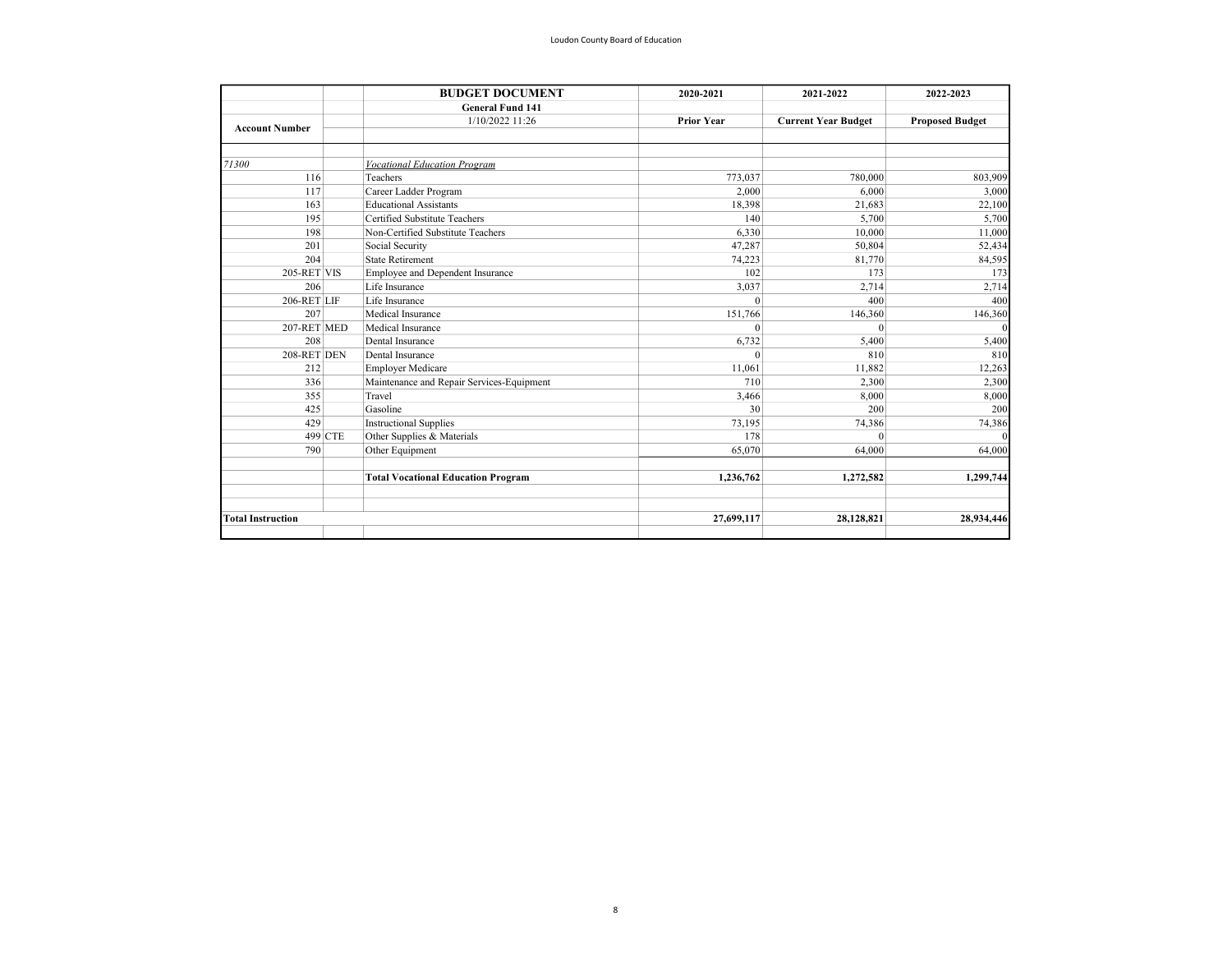|                          |         | <b>BUDGET DOCUMENT</b>                    | 2020-2021         | 2021-2022                  | 2022-2023              |
|--------------------------|---------|-------------------------------------------|-------------------|----------------------------|------------------------|
|                          |         | <b>General Fund 141</b>                   |                   |                            |                        |
| <b>Account Number</b>    |         | 1/10/2022 11:26                           | <b>Prior Year</b> | <b>Current Year Budget</b> | <b>Proposed Budget</b> |
|                          |         |                                           |                   |                            |                        |
| 71300                    |         | <b>Vocational Education Program</b>       |                   |                            |                        |
| 116                      |         | Teachers                                  | 773,037           | 780,000                    | 803,909                |
| 117                      |         | Career Ladder Program                     | 2.000             | 6.000                      | 3,000                  |
| 163                      |         | <b>Educational Assistants</b>             | 18,398            | 21,683                     | 22,100                 |
| 195                      |         | Certified Substitute Teachers             | 140               | 5,700                      | 5,700                  |
| 198                      |         | Non-Certified Substitute Teachers         | 6,330             | 10,000                     | 11,000                 |
| 201                      |         | Social Security                           | 47,287            | 50,804                     | 52,434                 |
| 204                      |         | <b>State Retirement</b>                   | 74,223            | 81,770                     | 84,595                 |
| 205-RET VIS              |         | Employee and Dependent Insurance          | 102               | 173                        | 173                    |
| 206                      |         | Life Insurance                            | 3,037             | 2,714                      | 2,714                  |
| 206-RET LIF              |         | Life Insurance                            | $\Omega$          | 400                        | 400                    |
| 207                      |         | Medical Insurance                         | 151,766           | 146,360                    | 146,360                |
| 207-RET MED              |         | Medical Insurance                         | $\theta$          | $\Omega$                   |                        |
| 208                      |         | Dental Insurance                          | 6,732             | 5,400                      | 5,400                  |
| 208-RET DEN              |         | Dental Insurance                          | $\theta$          | 810                        | 810                    |
| 212                      |         | <b>Employer Medicare</b>                  | 11.061            | 11,882                     | 12,263                 |
| 336                      |         | Maintenance and Repair Services-Equipment | 710               | 2,300                      | 2,300                  |
| 355                      |         | Travel                                    | 3,466             | 8,000                      | 8,000                  |
| 425                      |         | Gasoline                                  | 30                | 200                        | 200                    |
| 429                      |         | <b>Instructional Supplies</b>             | 73,195            | 74,386                     | 74,386                 |
|                          | 499 CTE | Other Supplies & Materials                | 178               | $\Omega$                   |                        |
| 790                      |         | Other Equipment                           | 65,070            | 64,000                     | 64,000                 |
|                          |         | <b>Total Vocational Education Program</b> | 1,236,762         | 1,272,582                  | 1,299,744              |
|                          |         |                                           |                   |                            |                        |
| <b>Total Instruction</b> |         |                                           | 27,699,117        | 28,128,821                 | 28,934,446             |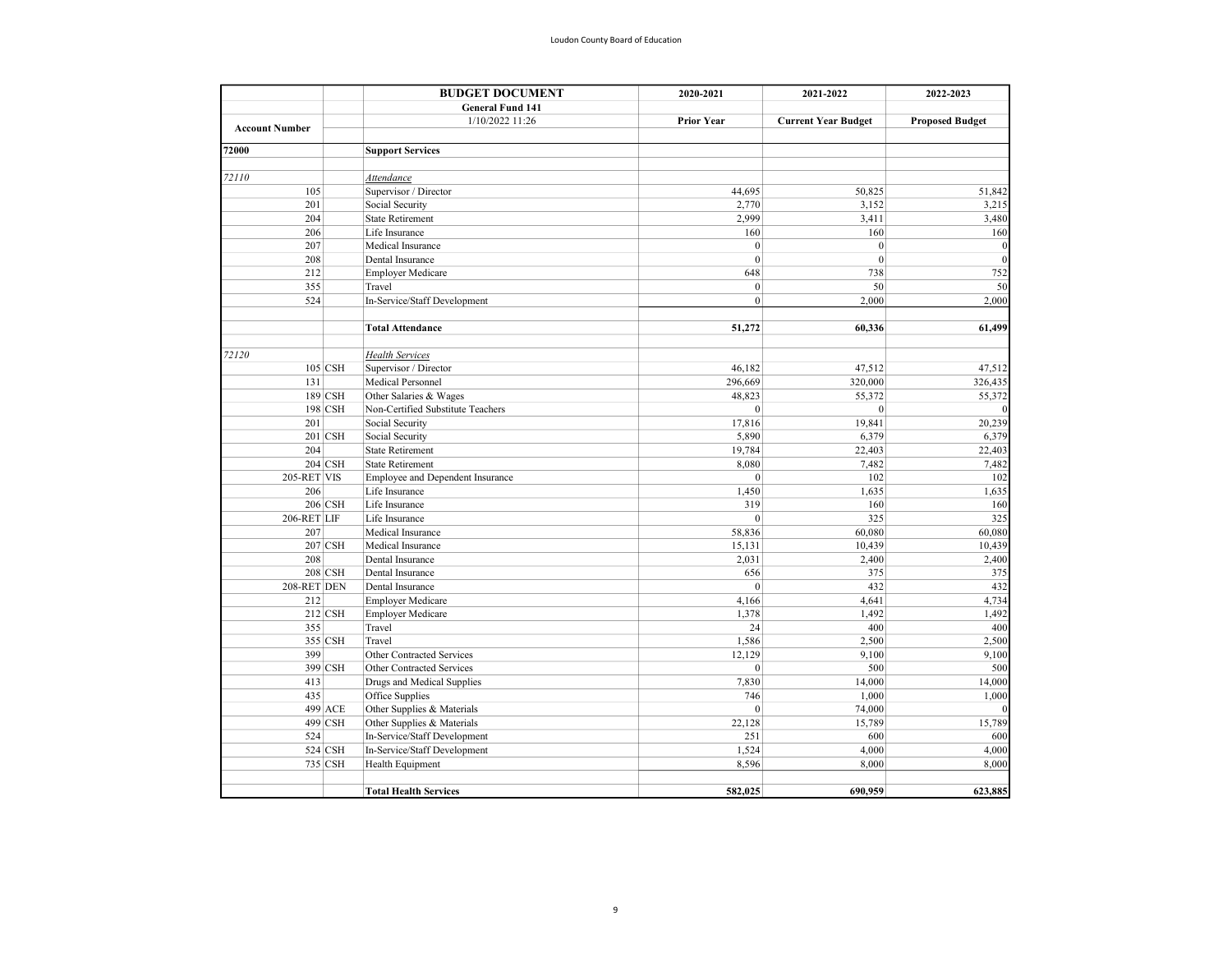|                       | <b>BUDGET DOCUMENT</b><br><b>General Fund 141</b> | 2020-2021         | 2021-2022                  | 2022-2023              |
|-----------------------|---------------------------------------------------|-------------------|----------------------------|------------------------|
|                       |                                                   |                   |                            |                        |
|                       | 1/10/2022 11:26                                   | <b>Prior Year</b> | <b>Current Year Budget</b> | <b>Proposed Budget</b> |
| <b>Account Number</b> |                                                   |                   |                            |                        |
| 72000                 | <b>Support Services</b>                           |                   |                            |                        |
|                       |                                                   |                   |                            |                        |
| 72110                 | Attendance                                        |                   |                            |                        |
| 105                   | Supervisor / Director                             | 44,695            | 50,825                     | 51,842                 |
| 201                   | Social Security                                   | 2,770             | 3,152                      | 3,215                  |
| 204                   | <b>State Retirement</b>                           | 2,999             | 3,411                      | 3,480                  |
| 206                   | Life Insurance                                    | 160               | 160                        | 160                    |
| 207                   | Medical Insurance                                 | $\boldsymbol{0}$  | $\boldsymbol{0}$           | $\Omega$               |
| 208                   | Dental Insurance                                  | $\mathbf{0}$      | $\mathbf{0}$               | $\Omega$               |
| 212                   | <b>Employer Medicare</b>                          | 648               | 738                        | 752                    |
| 355                   | Travel                                            | $\mathbf{0}$      | 50                         | 50                     |
| 524                   | In-Service/Staff Development                      | $\mathbf{0}$      | 2,000                      | 2,000                  |
|                       | <b>Total Attendance</b>                           | 51,272            | 60,336                     | 61,499                 |
| 72120                 | <b>Health Services</b>                            |                   |                            |                        |
| $105$ CSH             | Supervisor / Director                             | 46,182            | 47,512                     | 47,512                 |
| 131                   | Medical Personnel                                 | 296,669           | 320,000                    | 326,435                |
| 189 CSH               | Other Salaries & Wages                            | 48,823            | 55,372                     | 55,372                 |
| 198 CSH               | Non-Certified Substitute Teachers                 | $\boldsymbol{0}$  | $\mathbf{0}$               |                        |
| 201                   | Social Security                                   | 17,816            | 19,841                     | 20,239                 |
| 201 CSH               | Social Security                                   | 5,890             | 6,379                      | 6,379                  |
| 204                   | <b>State Retirement</b>                           | 19,784            | 22,403                     | 22,403                 |
| 204 CSH               | <b>State Retirement</b>                           | 8,080             | 7,482                      | 7,482                  |
| 205-RET VIS           | Employee and Dependent Insurance                  | $\mathbf{0}$      | 102                        | 102                    |
| 206                   | Life Insurance                                    | 1,450             | 1,635                      | 1,635                  |
| 206 CSH               | Life Insurance                                    | 319               | 160                        | 160                    |
| 206-RET LIF           | Life Insurance                                    | $\mathbf{0}$      | 325                        | 325                    |
| 207                   | Medical Insurance                                 | 58,836            | 60,080                     | 60,080                 |
| 207 CSH               | Medical Insurance                                 | 15,131            | 10,439                     | 10,439                 |
| 208                   | Dental Insurance                                  | 2,031             | 2,400                      | 2,400                  |
| <b>208 CSH</b>        | Dental Insurance                                  | 656               | 375                        | 375                    |
| 208-RET DEN           | Dental Insurance                                  | $\mathbf{0}$      | 432                        | 432                    |
| 212                   | <b>Employer Medicare</b>                          | 4,166             | 4,641                      | 4,734                  |
| 212 CSH               | <b>Employer Medicare</b>                          | 1,378             | 1,492                      | 1,492                  |
| 355                   | Travel                                            | 24                | 400                        | 400                    |
| 355 CSH               | Travel                                            | 1,586             | 2,500                      | 2,500                  |
| 399                   | Other Contracted Services                         | 12,129            | 9,100                      | 9,100                  |
| 399 CSH               | Other Contracted Services                         | $\mathbf{0}$      | 500                        | 500                    |
| 413                   | Drugs and Medical Supplies                        | 7,830             | 14,000                     | 14,000                 |
| 435                   | Office Supplies                                   | 746               | 1,000                      | 1,000                  |
| 499 ACE               | Other Supplies & Materials                        | $\mathbf{0}$      | 74,000                     |                        |
| 499 CSH               | Other Supplies & Materials                        | 22,128            | 15,789                     | 15,789                 |
| 524                   | In-Service/Staff Development                      | 251               | 600                        | 600                    |
| 524 CSH               | In-Service/Staff Development                      | 1,524             | 4,000                      | 4,000                  |
| 735 CSH               | Health Equipment                                  | 8,596             | 8,000                      | 8,000                  |
|                       | <b>Total Health Services</b>                      | 582,025           | 690,959                    | 623,885                |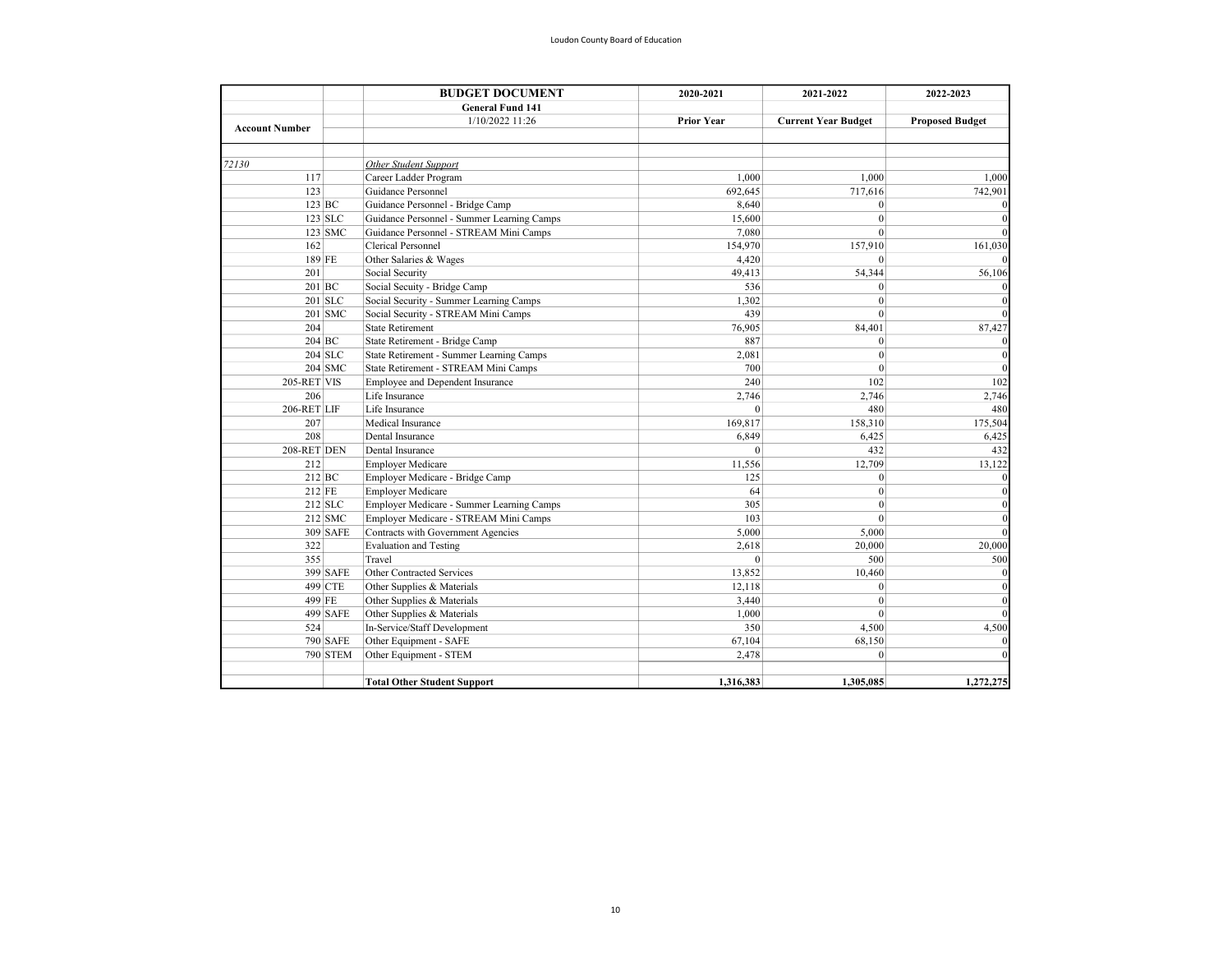|                       |                 | <b>BUDGET DOCUMENT</b>                     | 2020-2021         | 2021-2022                  | 2022-2023              |
|-----------------------|-----------------|--------------------------------------------|-------------------|----------------------------|------------------------|
|                       |                 | <b>General Fund 141</b>                    |                   |                            |                        |
| <b>Account Number</b> |                 | 1/10/2022 11:26                            | <b>Prior Year</b> | <b>Current Year Budget</b> | <b>Proposed Budget</b> |
| 72130                 |                 | Other Student Support                      |                   |                            |                        |
| 117                   |                 | Career Ladder Program                      | 1,000             | 1,000                      | 1,000                  |
| 123                   |                 | Guidance Personnel                         | 692,645           | 717,616                    | 742,901                |
|                       | $123$ BC        | Guidance Personnel - Bridge Camp           | 8,640             | $\theta$                   |                        |
|                       | $123$ SLC       | Guidance Personnel - Summer Learning Camps | 15,600            | $\mathbf{0}$               |                        |
|                       | 123 SMC         | Guidance Personnel - STREAM Mini Camps     | 7,080             | $\mathbf{0}$               |                        |
| 162                   |                 | Clerical Personnel                         | 154,970           | 157,910                    | 161,030                |
|                       | 189 FE          | Other Salaries & Wages                     | 4,420             | $\mathbf{0}$               |                        |
| 201                   |                 | Social Security                            | 49,413            | 54,344                     | 56,106                 |
|                       | $201$ BC        | Social Secuity - Bridge Camp               | 536               | $\mathbf{0}$               |                        |
|                       | 201 SLC         | Social Security - Summer Learning Camps    | 1,302             | $\mathbf{0}$               |                        |
|                       | 201 SMC         | Social Security - STREAM Mini Camps        | 439               | $\mathbf{0}$               |                        |
| 204                   |                 | <b>State Retirement</b>                    | 76,905            | 84,401                     | 87,427                 |
|                       | 204 BC          | State Retirement - Bridge Camp             | 887               | $\mathbf{0}$               |                        |
|                       | 204 SLC         | State Retirement - Summer Learning Camps   | 2.081             | $\mathbf{0}$               |                        |
|                       | $204$ SMC       | State Retirement - STREAM Mini Camps       | 700               | $\mathbf{0}$               |                        |
| 205-RET VIS           |                 | Employee and Dependent Insurance           | 240               | 102                        | 102                    |
| 206                   |                 | Life Insurance                             | 2,746             | 2,746                      | 2,746                  |
| 206-RET LIF           |                 | Life Insurance                             | $\theta$          | 480                        | 480                    |
| 207                   |                 | Medical Insurance                          | 169,817           | 158,310                    | 175,504                |
| 208                   |                 | Dental Insurance                           | 6,849             | 6,425                      | 6,425                  |
| 208-RET DEN           |                 | Dental Insurance                           | $\theta$          | 432                        | 432                    |
| 212                   |                 | <b>Employer Medicare</b>                   | 11,556            | 12,709                     | 13,122                 |
|                       | $212$ BC        | Employer Medicare - Bridge Camp            | 125               | $\mathbf{0}$               |                        |
| 212 FE                |                 | <b>Employer Medicare</b>                   | 64                | $\mathbf{0}$               |                        |
|                       | $212$ SLC       | Employer Medicare - Summer Learning Camps  | 305               | $\boldsymbol{0}$           |                        |
|                       | $212$ SMC       | Employer Medicare - STREAM Mini Camps      | 103               | $\theta$                   |                        |
|                       | 309 SAFE        | Contracts with Government Agencies         | 5,000             | 5,000                      |                        |
| 322                   |                 | <b>Evaluation and Testing</b>              | 2,618             | 20,000                     | 20,000                 |
| 355                   |                 | Travel                                     | $\mathbf{0}$      | 500                        | 500                    |
|                       | 399 SAFE        | Other Contracted Services                  | 13,852            | 10,460                     |                        |
|                       | 499 CTE         | Other Supplies & Materials                 | 12,118            | $\mathbf{0}$               |                        |
|                       | 499 FE          | Other Supplies & Materials                 | 3,440             | $\mathbf{0}$               |                        |
|                       | 499 SAFE        | Other Supplies & Materials                 | 1,000             | $\theta$                   |                        |
| 524                   |                 | In-Service/Staff Development               | 350               | 4,500                      | 4,500                  |
|                       | <b>790 SAFE</b> | Other Equipment - SAFE                     | 67,104            | 68,150                     |                        |
|                       | <b>790 STEM</b> | Other Equipment - STEM                     | 2,478             | $\theta$                   |                        |
|                       |                 | <b>Total Other Student Support</b>         | 1.316.383         | 1,305,085                  | 1,272,275              |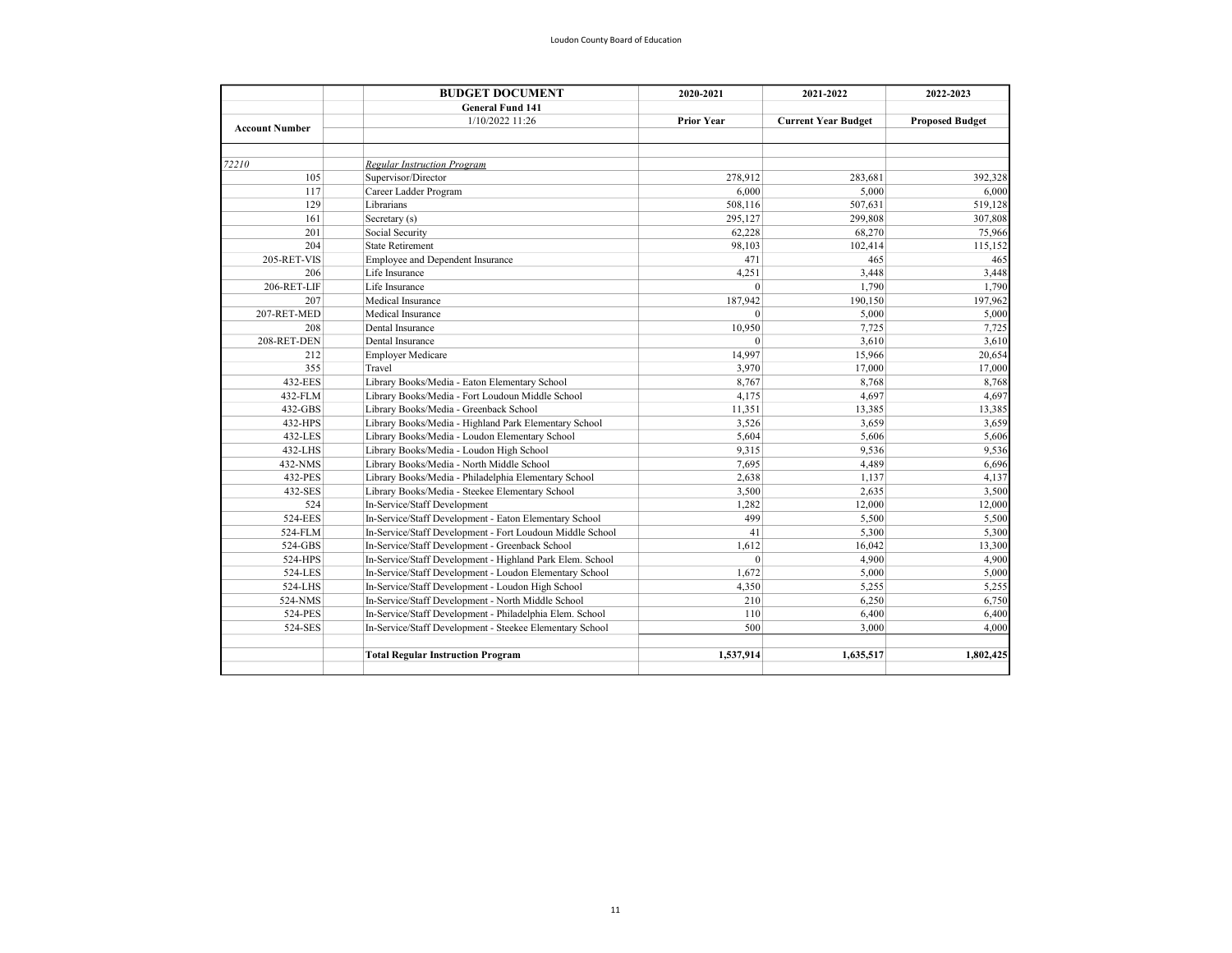|                       | <b>BUDGET DOCUMENT</b><br><b>General Fund 141</b>         | 2020-2021         | 2021-2022                  | 2022-2023              |  |
|-----------------------|-----------------------------------------------------------|-------------------|----------------------------|------------------------|--|
|                       |                                                           |                   |                            |                        |  |
| <b>Account Number</b> | 1/10/2022 11:26                                           | <b>Prior Year</b> | <b>Current Year Budget</b> | <b>Proposed Budget</b> |  |
|                       |                                                           |                   |                            |                        |  |
| 72210                 | <b>Regular Instruction Program</b>                        |                   |                            |                        |  |
| 105                   | Supervisor/Director                                       | 278.912           | 283.681                    | 392.328                |  |
| 117                   | Career Ladder Program                                     | 6,000             | 5,000                      | 6,000                  |  |
| 129                   | Librarians                                                | 508,116           | 507,631                    | 519,128                |  |
| 161                   | Secretary (s)                                             | 295,127           | 299,808                    | 307,808                |  |
| 201                   | Social Security                                           | 62,228            | 68,270                     | 75,966                 |  |
| 204                   | <b>State Retirement</b>                                   | 98.103            | 102,414                    | 115,152                |  |
| 205-RET-VIS           | Employee and Dependent Insurance                          | 471               | 465                        | 465                    |  |
| 206                   | Life Insurance                                            | 4,251             | 3,448                      | 3,448                  |  |
| 206-RET-LIF           | Life Insurance                                            | $\theta$          | 1,790                      | 1,790                  |  |
| 207                   | Medical Insurance                                         | 187,942           | 190,150                    | 197,962                |  |
| 207-RET-MED           | Medical Insurance                                         | $\Omega$          | 5,000                      | 5,000                  |  |
| 208                   | Dental Insurance                                          | 10,950            | 7,725                      | 7,725                  |  |
| 208-RET-DEN           | Dental Insurance                                          | $\theta$          | 3,610                      | 3,610                  |  |
| 212                   | <b>Employer Medicare</b>                                  | 14,997            | 15,966                     | 20,654                 |  |
| 355                   | Travel                                                    | 3,970             | 17,000                     | 17,000                 |  |
| 432-EES               | Library Books/Media - Eaton Elementary School             | 8,767             | 8,768                      | 8,768                  |  |
| 432-FLM               | Library Books/Media - Fort Loudoun Middle School          | 4,175             | 4,697                      | 4,697                  |  |
| 432-GBS               | Library Books/Media - Greenback School                    | 11,351            | 13,385                     | 13,385                 |  |
| 432-HPS               | Library Books/Media - Highland Park Elementary School     | 3,526             | 3,659                      | 3,659                  |  |
| 432-LES               | Library Books/Media - Loudon Elementary School            | 5.604             | 5.606                      | 5,606                  |  |
| 432-LHS               | Library Books/Media - Loudon High School                  | 9,315             | 9,536                      | 9,536                  |  |
| 432-NMS               | Library Books/Media - North Middle School                 | 7,695             | 4,489                      | 6,696                  |  |
| 432-PES               | Library Books/Media - Philadelphia Elementary School      | 2,638             | 1,137                      | 4,137                  |  |
| 432-SES               | Library Books/Media - Steekee Elementary School           | 3,500             | 2,635                      | 3,500                  |  |
| 524                   | In-Service/Staff Development                              | 1,282             | 12,000                     | 12,000                 |  |
| 524-EES               | In-Service/Staff Development - Eaton Elementary School    | 499               | 5,500                      | 5,500                  |  |
| 524-FLM               | In-Service/Staff Development - Fort Loudoun Middle School | 41                | 5,300                      | 5,300                  |  |
| 524-GBS               | In-Service/Staff Development - Greenback School           | 1,612             | 16,042                     | 13,300                 |  |
| 524-HPS               | In-Service/Staff Development - Highland Park Elem. School | $\mathbf{0}$      | 4,900                      | 4,900                  |  |
| 524-LES               | In-Service/Staff Development - Loudon Elementary School   | 1.672             | 5,000                      | 5,000                  |  |
| 524-LHS               | In-Service/Staff Development - Loudon High School         | 4,350             | 5,255                      | 5,255                  |  |
| 524-NMS               | In-Service/Staff Development - North Middle School        | 210               | 6,250                      | 6,750                  |  |
| 524-PES               | In-Service/Staff Development - Philadelphia Elem. School  | 110               | 6,400                      | 6,400                  |  |
| 524-SES               | In-Service/Staff Development - Steekee Elementary School  | 500               | 3,000                      | 4,000                  |  |
|                       | <b>Total Regular Instruction Program</b>                  | 1,537,914         | 1,635,517                  | 1,802,425              |  |
|                       |                                                           |                   |                            |                        |  |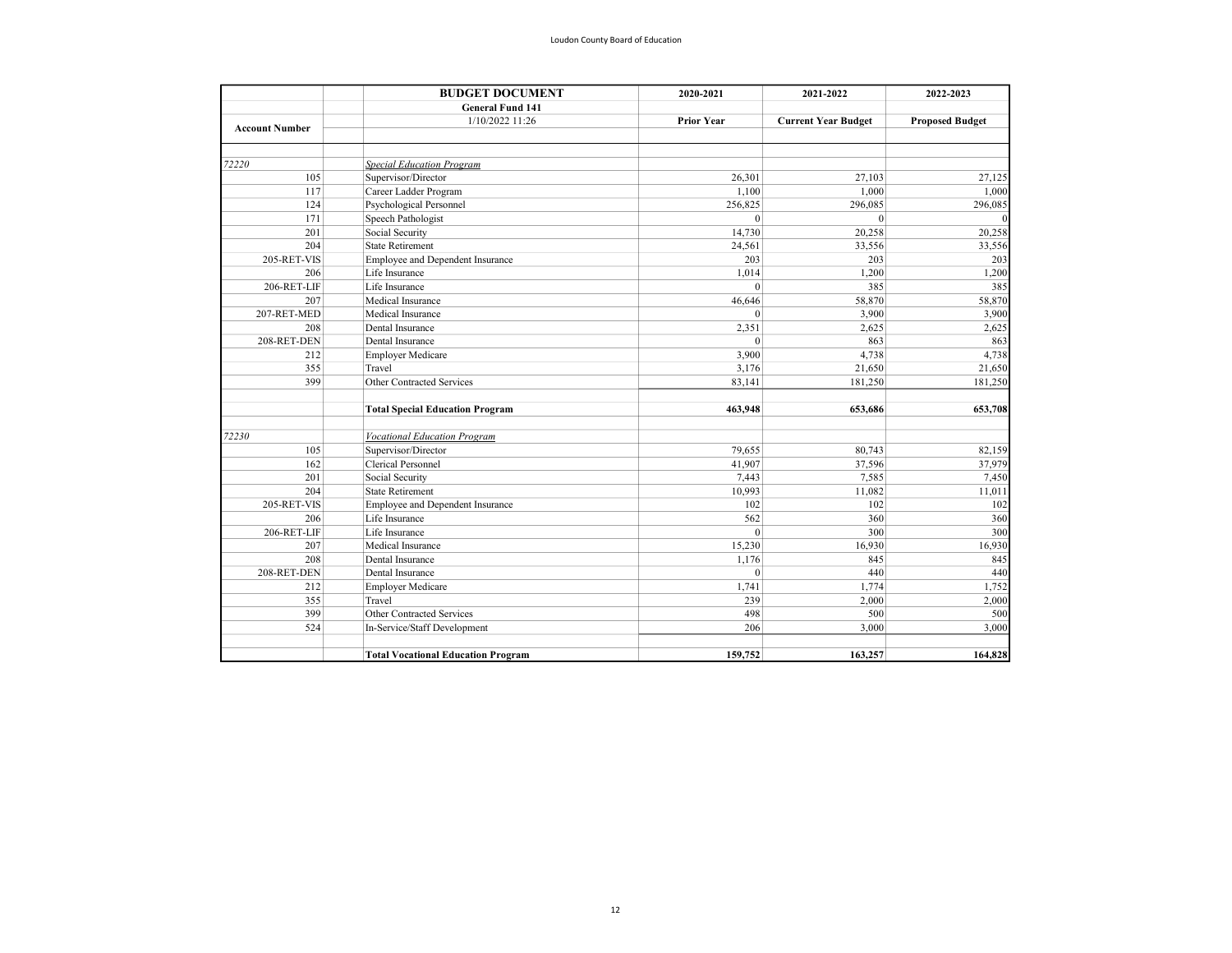|                       | <b>BUDGET DOCUMENT</b>                    | 2020-2021         | 2021-2022                  | 2022-2023              |  |
|-----------------------|-------------------------------------------|-------------------|----------------------------|------------------------|--|
|                       | <b>General Fund 141</b>                   |                   |                            |                        |  |
| <b>Account Number</b> | 1/10/2022 11:26                           | <b>Prior Year</b> | <b>Current Year Budget</b> | <b>Proposed Budget</b> |  |
|                       |                                           |                   |                            |                        |  |
| 72220                 | <b>Special Education Program</b>          |                   |                            |                        |  |
| 105                   | Supervisor/Director                       | 26,301            | 27,103                     | 27,125                 |  |
| 117                   | Career Ladder Program                     | 1.100             | 1,000                      | 1,000                  |  |
| 124                   | Psychological Personnel                   | 256,825           | 296,085                    | 296,085                |  |
| 171                   | Speech Pathologist                        | $\theta$          | $\Omega$                   |                        |  |
| 201                   | Social Security                           | 14,730            | 20,258                     | 20,258                 |  |
| 204                   | <b>State Retirement</b>                   | 24,561            | 33,556                     | 33,556                 |  |
| 205-RET-VIS           | Employee and Dependent Insurance          | 203               | 203                        | 203                    |  |
| 206                   | Life Insurance                            | 1,014             | 1,200                      | 1,200                  |  |
| 206-RET-LIF           | Life Insurance                            | $\theta$          | 385                        | 385                    |  |
| 207                   | Medical Insurance                         | 46,646            | 58,870                     | 58,870                 |  |
| 207-RET-MED           | Medical Insurance                         | $\Omega$          | 3,900                      | 3,900                  |  |
| 208                   | Dental Insurance                          | 2,351             | 2,625                      | 2,625                  |  |
| 208-RET-DEN           | Dental Insurance                          | $\theta$          | 863                        | 863                    |  |
| 212                   | <b>Employer Medicare</b>                  | 3,900             | 4,738                      | 4,738                  |  |
| 355                   | Travel                                    | 3,176             | 21,650                     | 21,650                 |  |
| 399                   | Other Contracted Services                 | 83,141            | 181,250                    | 181,250                |  |
|                       | <b>Total Special Education Program</b>    | 463,948           | 653.686                    | 653,708                |  |
|                       |                                           |                   |                            |                        |  |
| 72230<br>105          | <b>Vocational Education Program</b>       |                   |                            |                        |  |
| 162                   | Supervisor/Director<br>Clerical Personnel | 79.655            | 80,743                     | 82,159                 |  |
|                       |                                           | 41,907            | 37,596                     | 37,979                 |  |
| 201<br>204            | Social Security                           | 7,443             | 7,585                      | 7,450                  |  |
| 205-RET-VIS           | <b>State Retirement</b>                   | 10,993<br>102     | 11,082<br>102              | 11,011                 |  |
|                       | Employee and Dependent Insurance          |                   |                            | 102                    |  |
| 206                   | Life Insurance<br>Life Insurance          | 562<br>$\theta$   | 360<br>300                 | 360                    |  |
| 206-RET-LIF           |                                           |                   |                            | 300                    |  |
| 207                   | Medical Insurance                         | 15,230            | 16,930                     | 16,930                 |  |
| 208                   | Dental Insurance                          | 1,176             | 845                        | 845                    |  |
| 208-RET-DEN           | Dental Insurance                          | $\theta$          | 440                        | 440                    |  |
| 212                   | <b>Employer Medicare</b>                  | 1,741             | 1,774                      | 1,752                  |  |
| 355                   | Travel                                    | 239               | 2,000                      | 2,000                  |  |
| 399                   | Other Contracted Services                 | 498               | 500                        | 500                    |  |
| 524                   | In-Service/Staff Development              | 206               | 3,000                      | 3,000                  |  |
|                       | <b>Total Vocational Education Program</b> | 159,752           | 163,257                    | 164,828                |  |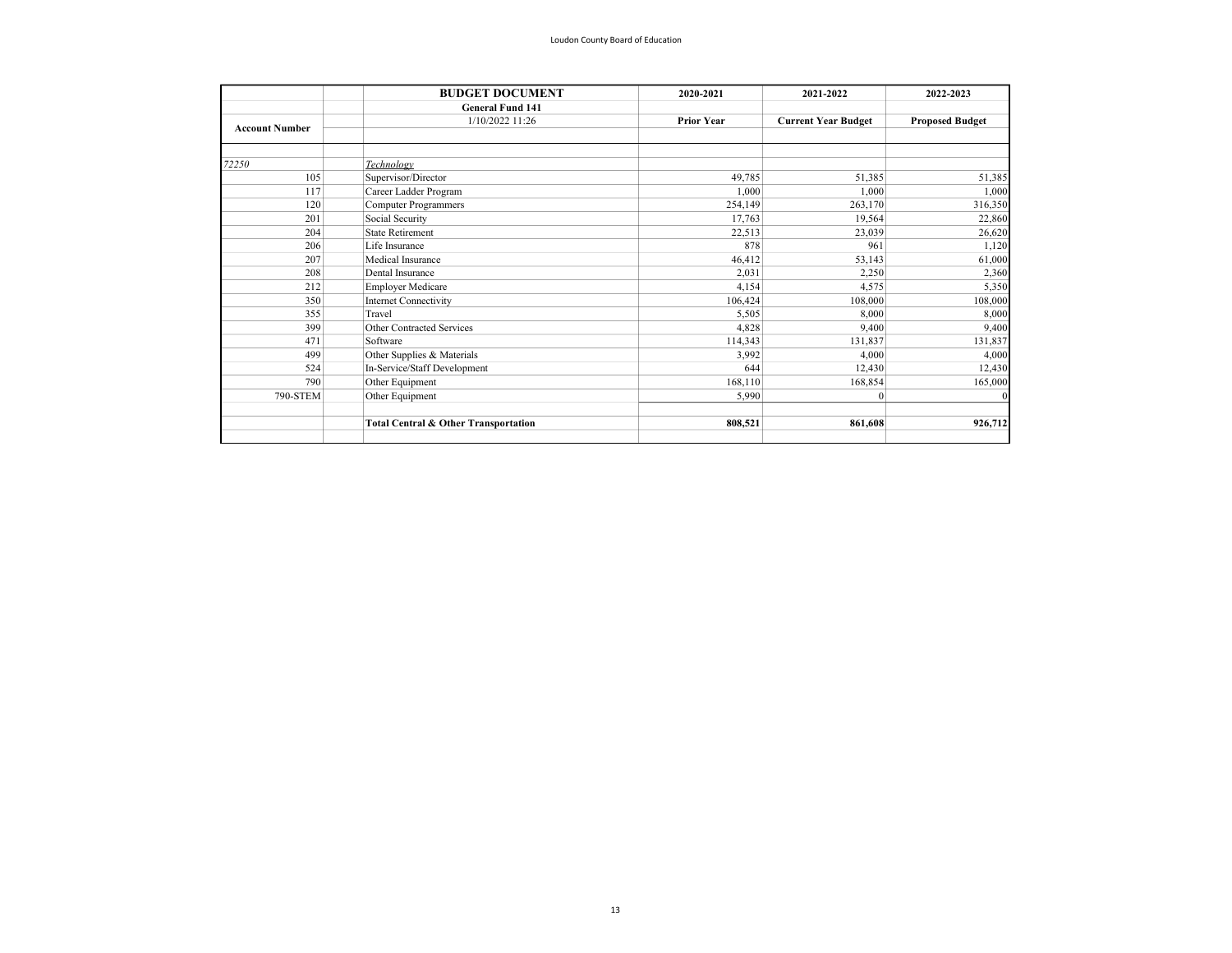| <b>BUDGET DOCUMENT</b>       | 2020-2021                            | 2021-2022                  | 2022-2023              |
|------------------------------|--------------------------------------|----------------------------|------------------------|
| <b>General Fund 141</b>      |                                      |                            |                        |
| 1/10/2022 11:26              | <b>Prior Year</b>                    | <b>Current Year Budget</b> | <b>Proposed Budget</b> |
|                              |                                      |                            |                        |
| Technology                   |                                      |                            |                        |
| Supervisor/Director          | 49,785                               | 51,385                     | 51,385                 |
| Career Ladder Program        | 1,000                                | 1,000                      | 1,000                  |
| <b>Computer Programmers</b>  | 254,149                              | 263,170                    | 316,350                |
| Social Security              | 17,763                               | 19,564                     | 22,860                 |
| <b>State Retirement</b>      | 22,513                               | 23,039                     | 26,620                 |
| Life Insurance               | 878                                  | 961                        | 1,120                  |
| Medical Insurance            | 46,412                               | 53,143                     | 61,000                 |
| Dental Insurance             | 2.031                                | 2,250                      | 2,360                  |
| <b>Employer Medicare</b>     | 4,154                                | 4,575                      | 5,350                  |
| <b>Internet Connectivity</b> | 106,424                              | 108,000                    | 108,000                |
| Travel                       | 5,505                                | 8,000                      | 8,000                  |
| Other Contracted Services    | 4,828                                | 9,400                      | 9,400                  |
| Software                     | 114,343                              | 131,837                    | 131,837                |
| Other Supplies & Materials   | 3.992                                | 4.000                      | 4,000                  |
| In-Service/Staff Development | 644                                  | 12,430                     | 12,430                 |
| Other Equipment              | 168,110                              | 168,854                    | 165,000                |
| Other Equipment              | 5,990                                | $\mathbf{0}$               |                        |
|                              |                                      |                            |                        |
|                              |                                      |                            | 926,712                |
|                              | Total Central & Other Transportation | 808,521                    | 861,608                |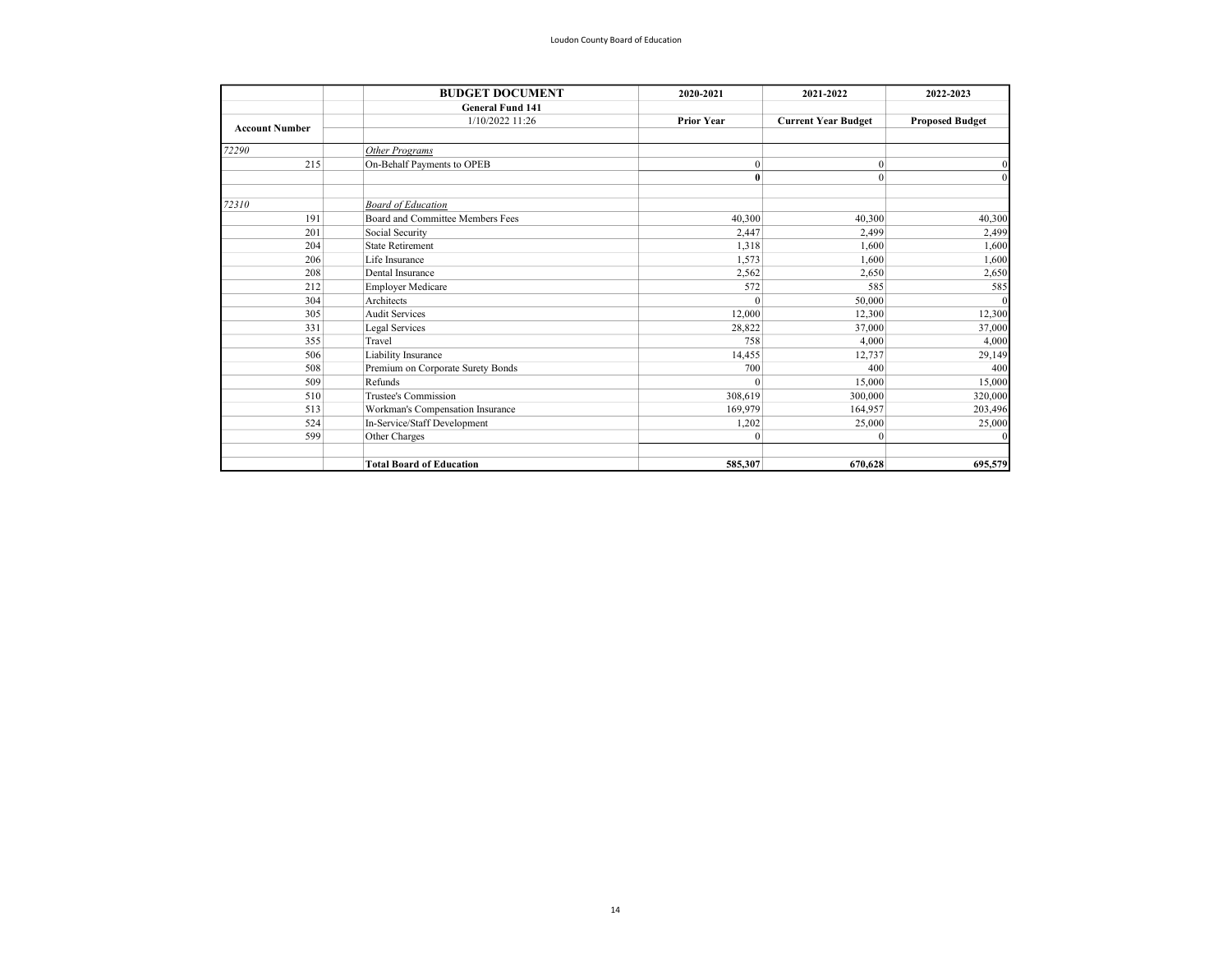|                       | <b>BUDGET DOCUMENT</b>            | 2020-2021         | 2021-2022                  | 2022-2023              |
|-----------------------|-----------------------------------|-------------------|----------------------------|------------------------|
|                       | <b>General Fund 141</b>           |                   |                            |                        |
| <b>Account Number</b> | 1/10/2022 11:26                   | <b>Prior Year</b> | <b>Current Year Budget</b> | <b>Proposed Budget</b> |
| 72290                 | Other Programs                    |                   |                            |                        |
| 215                   | On-Behalf Payments to OPEB        | $\mathbf{0}$      | $\boldsymbol{0}$           |                        |
|                       |                                   | $\bf{0}$          | $\mathbf{0}$               |                        |
| 72310                 | <b>Board of Education</b>         |                   |                            |                        |
| 191                   | Board and Committee Members Fees  | 40,300            | 40,300                     | 40,300                 |
| 201                   | Social Security                   | 2,447             | 2,499                      | 2,499                  |
| 204                   | <b>State Retirement</b>           | 1.318             | 1,600                      | 1,600                  |
| 206                   | Life Insurance                    | 1,573             | 1,600                      | 1,600                  |
| 208                   | Dental Insurance                  | 2,562             | 2,650                      | 2,650                  |
| 212                   | <b>Employer Medicare</b>          | 572               | 585                        | 585                    |
| 304                   | Architects                        | $\theta$          | 50,000                     |                        |
| 305                   | <b>Audit Services</b>             | 12,000            | 12,300                     | 12,300                 |
| 331                   | Legal Services                    | 28,822            | 37,000                     | 37,000                 |
| 355                   | Travel                            | 758               | 4,000                      | 4,000                  |
| 506                   | Liability Insurance               | 14,455            | 12,737                     | 29,149                 |
| 508                   | Premium on Corporate Surety Bonds | 700               | 400                        | 400                    |
| 509                   | Refunds                           | $\theta$          | 15,000                     | 15,000                 |
| 510                   | Trustee's Commission              | 308,619           | 300,000                    | 320,000                |
| 513                   | Workman's Compensation Insurance  | 169,979           | 164,957                    | 203,496                |
| 524                   | In-Service/Staff Development      | 1,202             | 25,000                     | 25,000                 |
| 599                   | Other Charges                     | $\theta$          | $\Omega$                   |                        |
|                       | <b>Total Board of Education</b>   | 585,307           | 670,628                    | 695,579                |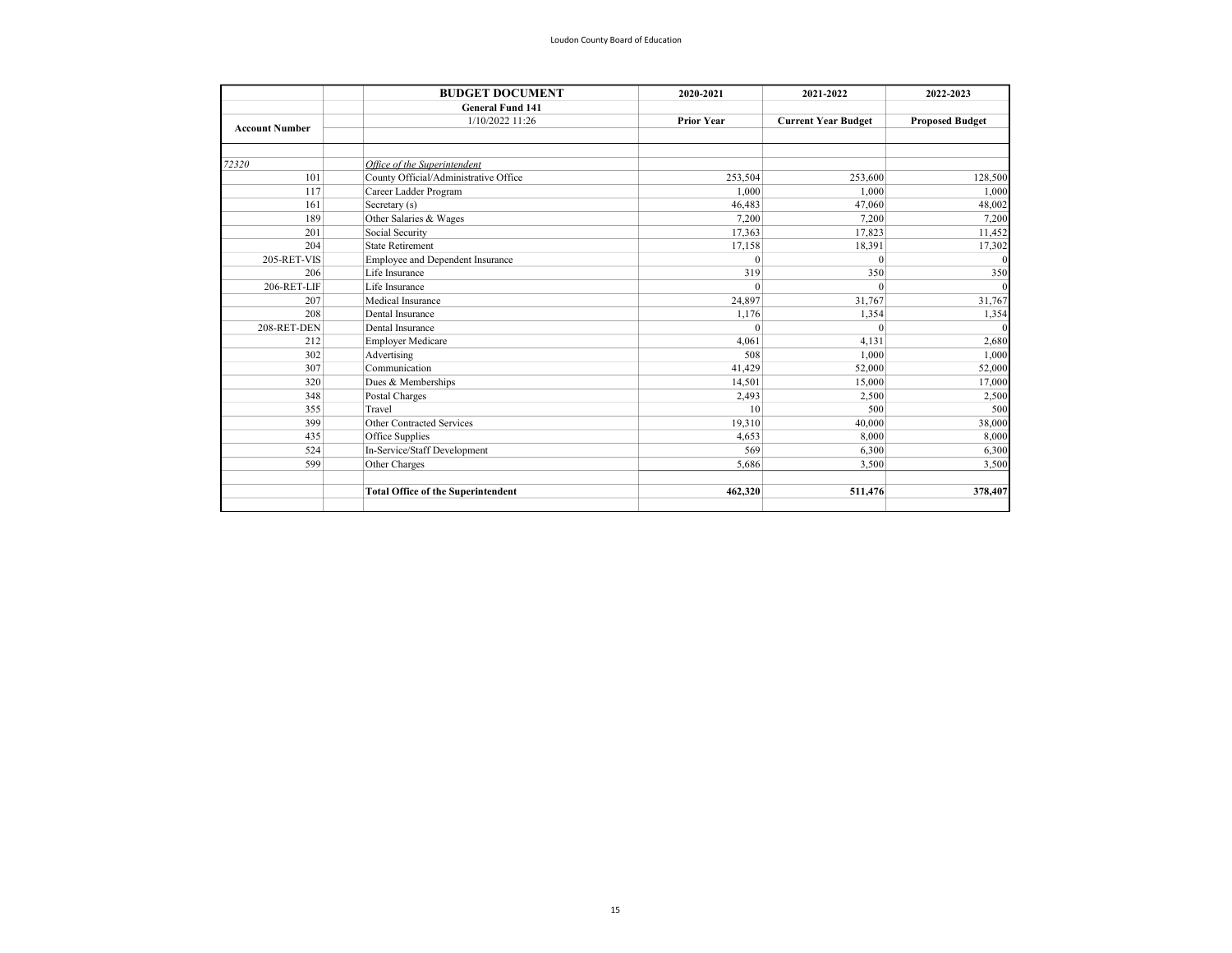|                       | <b>BUDGET DOCUMENT</b>                    | 2020-2021         | 2021-2022                  | 2022-2023              |
|-----------------------|-------------------------------------------|-------------------|----------------------------|------------------------|
|                       | <b>General Fund 141</b>                   |                   |                            |                        |
| <b>Account Number</b> | 1/10/2022 11:26                           | <b>Prior Year</b> | <b>Current Year Budget</b> | <b>Proposed Budget</b> |
|                       |                                           |                   |                            |                        |
|                       |                                           |                   |                            |                        |
| 72320                 | Office of the Superintendent              |                   |                            |                        |
| 101                   | County Official/Administrative Office     | 253,504           | 253,600                    | 128,500                |
| 117                   | Career Ladder Program                     | 1,000             | 1,000                      | 1,000                  |
| 161                   | Secretary (s)                             | 46,483            | 47,060                     | 48,002                 |
| 189                   | Other Salaries & Wages                    | 7,200             | 7,200                      | 7,200                  |
| 201                   | Social Security                           | 17,363            | 17,823                     | 11,452                 |
| 204                   | <b>State Retirement</b>                   | 17,158            | 18,391                     | 17,302                 |
| 205-RET-VIS           | Employee and Dependent Insurance          | $\theta$          | $\Omega$                   |                        |
| 206                   | Life Insurance                            | 319               | 350                        | 350                    |
| 206-RET-LIF           | Life Insurance                            | $\theta$          | $\theta$                   |                        |
| 207                   | Medical Insurance                         | 24.897            | 31,767                     | 31,767                 |
| 208                   | Dental Insurance                          | 1,176             | 1,354                      | 1,354                  |
| 208-RET-DEN           | Dental Insurance                          | $\Omega$          | $\Omega$                   |                        |
| 212                   | <b>Employer Medicare</b>                  | 4.061             | 4,131                      | 2,680                  |
| 302                   | Advertising                               | 508               | 1,000                      | 1,000                  |
| 307                   | Communication                             | 41,429            | 52,000                     | 52,000                 |
| 320                   | Dues & Memberships                        | 14,501            | 15,000                     | 17,000                 |
| 348                   | Postal Charges                            | 2,493             | 2,500                      | 2,500                  |
| 355                   | Travel                                    | 10                | 500                        | 500                    |
| 399                   | Other Contracted Services                 | 19,310            | 40,000                     | 38,000                 |
| 435                   | Office Supplies                           | 4,653             | 8,000                      | 8,000                  |
| 524                   | In-Service/Staff Development              | 569               | 6,300                      | 6,300                  |
| 599                   | Other Charges                             | 5,686             | 3,500                      | 3,500                  |
|                       |                                           |                   |                            |                        |
|                       | <b>Total Office of the Superintendent</b> | 462.320           | 511,476                    | 378,407                |
|                       |                                           |                   |                            |                        |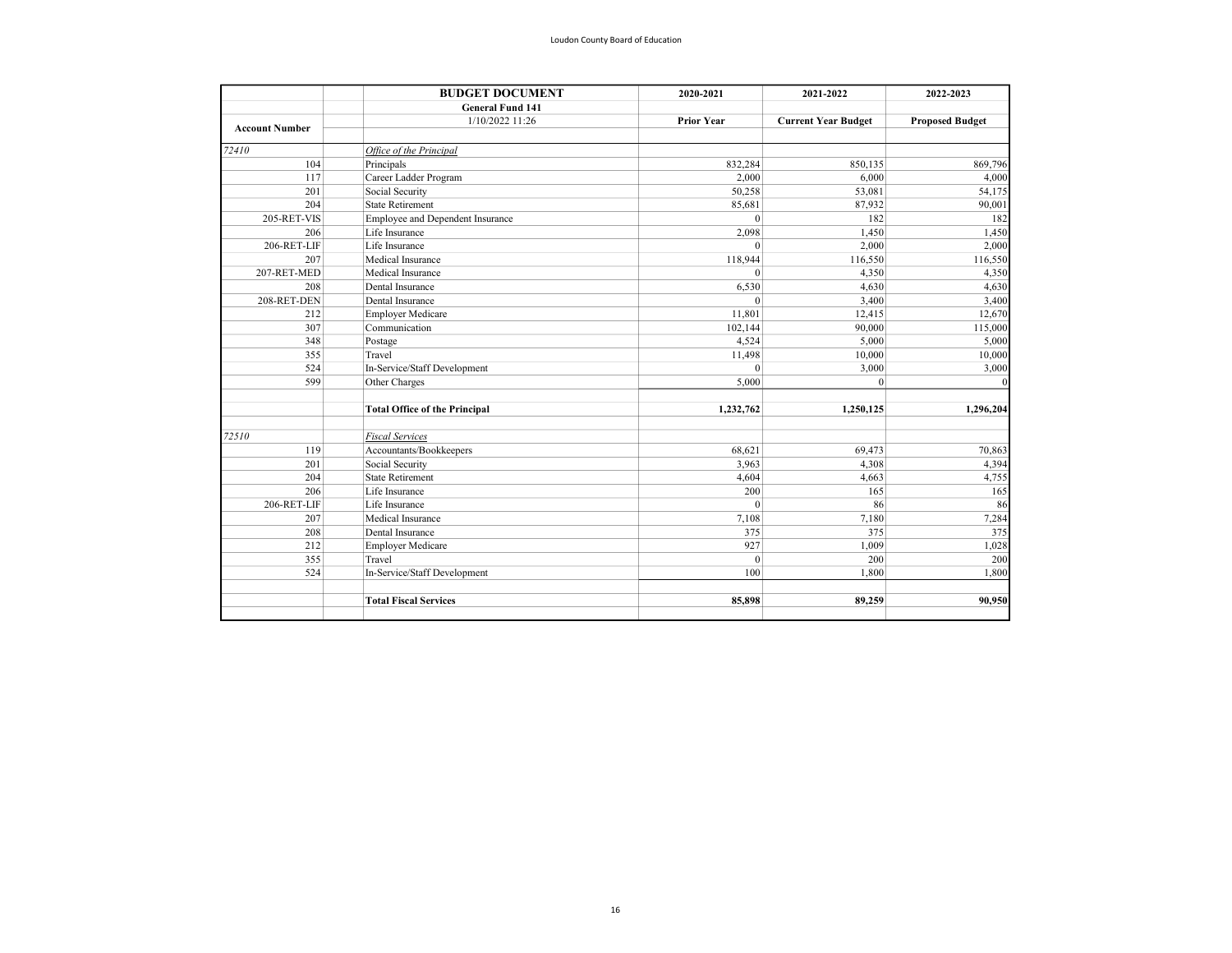| <b>BUDGET DOCUMENT</b>                 | 2020-2021                                                      | 2021-2022                  | 2022-2023                |
|----------------------------------------|----------------------------------------------------------------|----------------------------|--------------------------|
| <b>General Fund 141</b>                |                                                                |                            |                          |
| 1/10/2022 11:26                        | <b>Prior Year</b>                                              | <b>Current Year Budget</b> | <b>Proposed Budget</b>   |
| Office of the Principal                |                                                                |                            |                          |
| Principals                             | 832,284                                                        | 850,135                    | 869,796                  |
| Career Ladder Program                  | 2,000                                                          | 6,000                      | 4,000                    |
| Social Security                        | 50,258                                                         | 53,081                     | 54,175                   |
| <b>State Retirement</b>                | 85,681                                                         | 87,932                     | 90,001                   |
| Employee and Dependent Insurance       | $\Omega$                                                       | 182                        | 182                      |
| Life Insurance                         | 2,098                                                          | 1,450                      | 1,450                    |
| Life Insurance                         | $\theta$                                                       | 2,000                      | 2,000                    |
| Medical Insurance                      | 118,944                                                        | 116,550                    | 116,550                  |
| Medical Insurance                      | $\mathbf{0}$                                                   | 4,350                      | 4,350                    |
| Dental Insurance                       |                                                                | 4,630                      | 4,630<br>3,400<br>12,670 |
| 208-RET-DEN<br>Dental Insurance<br>212 | $\theta$                                                       | 3,400                      |                          |
|                                        | 11,801                                                         |                            |                          |
| Communication                          | 102,144                                                        | 90,000                     | 115,000                  |
|                                        | 4,524                                                          | 5,000                      | 5,000                    |
| Travel                                 | 11,498                                                         | 10,000                     | 10,000                   |
| In-Service/Staff Development           | $\theta$                                                       | 3,000                      | 3,000                    |
| Other Charges                          | 5.000                                                          | $\Omega$                   |                          |
| <b>Total Office of the Principal</b>   | 1,232,762                                                      | 1,250,125                  | 1,296,204                |
| <b>Fiscal Services</b>                 |                                                                |                            |                          |
|                                        | 68,621                                                         | 69,473                     | 70,863                   |
| Social Security                        | 3,963                                                          | 4,308                      | 4,394                    |
| <b>State Retirement</b>                | 4.604                                                          | 4,663                      | 4,755                    |
| Life Insurance                         | 200                                                            | 165                        | 165                      |
| Life Insurance                         | $\theta$                                                       | 86                         | 86                       |
| Medical Insurance                      | 7,108                                                          | 7,180                      | 7,284                    |
| Dental Insurance                       | 375                                                            | 375                        | 375                      |
| <b>Employer Medicare</b>               | 927                                                            | 1,009                      | 1,028                    |
| Travel                                 | $\theta$                                                       | 200                        | 200                      |
| In-Service/Staff Development           | 100                                                            | 1,800                      | 1,800                    |
| <b>Total Fiscal Services</b>           | 85,898                                                         | 89,259                     | 90,950                   |
|                                        | <b>Employer Medicare</b><br>Postage<br>Accountants/Bookkeepers | 6,530                      | 12,415                   |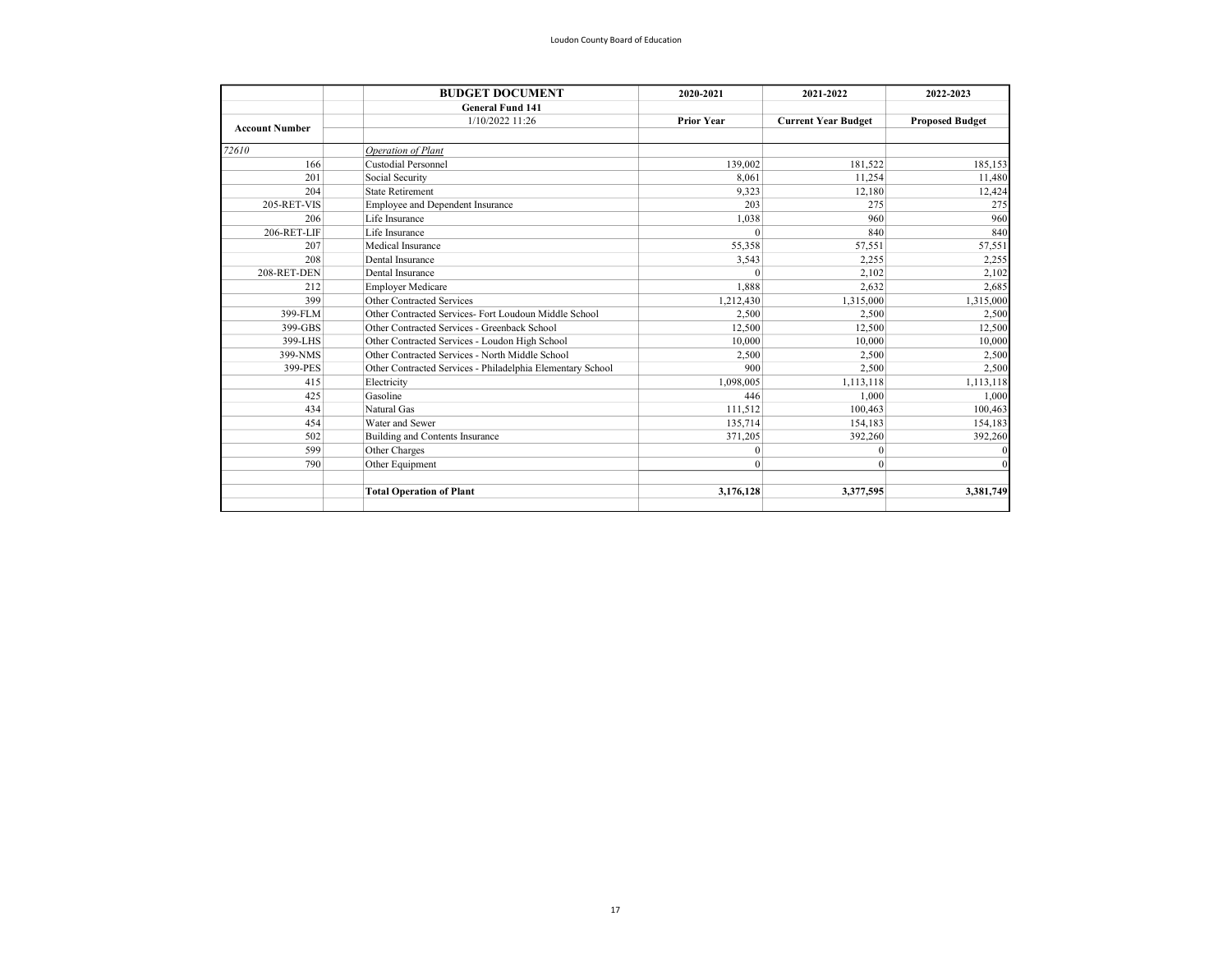|                       | <b>BUDGET DOCUMENT</b>                                     | 2020-2021                      | 2021-2022                   | 2022-2023                   |
|-----------------------|------------------------------------------------------------|--------------------------------|-----------------------------|-----------------------------|
|                       | <b>General Fund 141</b>                                    |                                |                             |                             |
| <b>Account Number</b> | 1/10/2022 11:26                                            | <b>Prior Year</b>              | <b>Current Year Budget</b>  | <b>Proposed Budget</b>      |
| 72610                 | Operation of Plant                                         |                                |                             |                             |
| 166                   | <b>Custodial Personnel</b>                                 | 139,002                        | 181.522                     | 185,153                     |
| 201                   | Social Security                                            | 8.061                          | 11,254                      | 11,480                      |
| 204                   | <b>State Retirement</b>                                    | 9,323                          | 12,180                      | 12,424                      |
| 205-RET-VIS           | Employee and Dependent Insurance                           | 203                            | 275                         | 275                         |
| 206                   | Life Insurance                                             | 1.038                          | 960                         | 960                         |
| 206-RET-LIF           | Life Insurance                                             | $\theta$                       | 840                         | 840                         |
| 207                   | Medical Insurance                                          | 55,358                         | 57,551                      | 57,551                      |
| 208                   | Dental Insurance                                           | 3,543                          | 2.255                       | 2,255                       |
| 208-RET-DEN           | Dental Insurance                                           | $\Omega$<br>1,888<br>1,212,430 | 2,102<br>2,632<br>1,315,000 | 2,102<br>2,685<br>1,315,000 |
| 212                   | <b>Employer Medicare</b>                                   |                                |                             |                             |
| 399                   | Other Contracted Services                                  |                                |                             |                             |
| 399-FLM               | Other Contracted Services- Fort Loudoun Middle School      | 2,500                          | 2,500                       | 2,500                       |
| 399-GBS               | Other Contracted Services - Greenback School               | 12.500                         | 12.500                      | 12,500                      |
| 399-LHS               | Other Contracted Services - Loudon High School             | 10,000                         | 10,000                      | 10,000                      |
| 399-NMS               | Other Contracted Services - North Middle School            | 2,500                          | 2,500                       | 2,500                       |
| 399-PES               | Other Contracted Services - Philadelphia Elementary School | 900                            | 2,500                       | 2,500                       |
| 415                   | Electricity                                                | 1.098.005                      | 1,113,118                   | 1,113,118                   |
| 425                   | Gasoline                                                   | 446                            | 1.000                       | 1,000<br>100,463            |
| 434                   | Natural Gas                                                | 111,512                        | 100,463                     |                             |
| 454                   | Water and Sewer                                            | 135,714                        | 154,183                     | 154,183                     |
| 502                   | Building and Contents Insurance                            | 371,205                        | 392,260                     | 392,260                     |
| 599                   | Other Charges                                              | $\mathbf{0}$                   | $\mathbf{0}$                |                             |
| 790                   | Other Equipment                                            | $\theta$                       | $\theta$                    |                             |
|                       | <b>Total Operation of Plant</b>                            | 3.176.128                      | 3,377,595                   | 3,381,749                   |
|                       |                                                            |                                |                             |                             |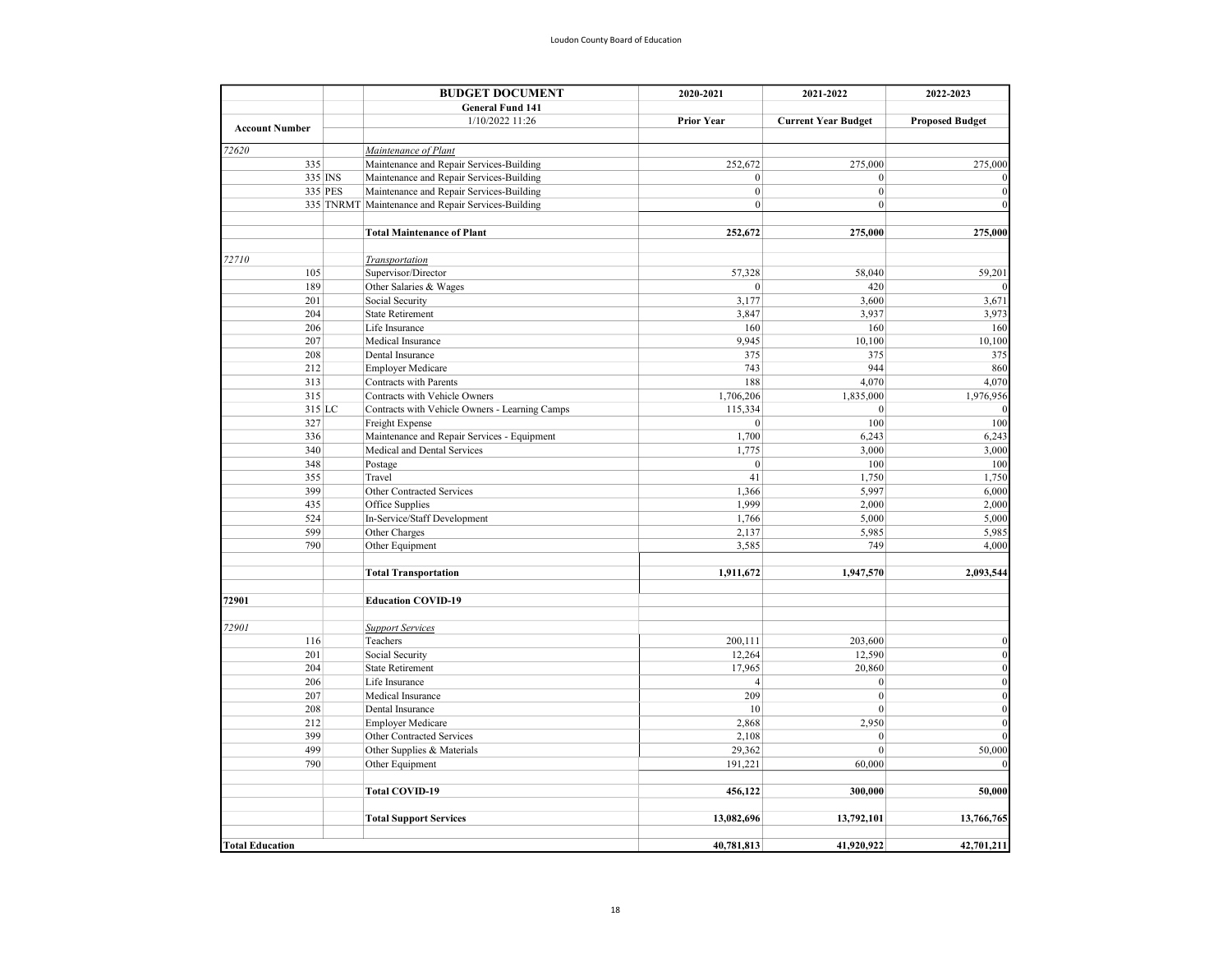|                        | <b>BUDGET DOCUMENT</b>                             | 2020-2021         | 2021-2022                  | 2022-2023              |
|------------------------|----------------------------------------------------|-------------------|----------------------------|------------------------|
|                        | <b>General Fund 141</b>                            |                   |                            |                        |
|                        | 1/10/2022 11:26                                    | <b>Prior Year</b> | <b>Current Year Budget</b> | <b>Proposed Budget</b> |
| <b>Account Number</b>  |                                                    |                   |                            |                        |
| 72620                  | Maintenance of Plant                               |                   |                            |                        |
| 335                    | Maintenance and Repair Services-Building           | 252,672           | 275,000                    | 275,000                |
| 335 INS                | Maintenance and Repair Services-Building           | $\mathbf{0}$      | $\mathbf{0}$               |                        |
| 335 PES                | Maintenance and Repair Services-Building           | $\boldsymbol{0}$  | $\mathbf{0}$               | $\Omega$               |
|                        | 335 TNRMT Maintenance and Repair Services-Building | $\mathbf{0}$      | $\mathbf{0}$               | $\Omega$               |
|                        |                                                    |                   |                            |                        |
|                        | <b>Total Maintenance of Plant</b>                  | 252,672           | 275,000                    | 275,000                |
|                        |                                                    |                   |                            |                        |
| 72710                  | <b>Transportation</b>                              |                   |                            |                        |
| 105                    | Supervisor/Director                                | 57,328            | 58,040                     | 59,201                 |
| 189                    | Other Salaries & Wages                             | $\mathbf{0}$      | 420                        |                        |
| 201                    | Social Security                                    | 3,177             | 3,600                      | 3,671                  |
| 204                    | <b>State Retirement</b>                            | 3,847             | 3,937                      | 3,973                  |
| 206                    | Life Insurance                                     | 160               | 160                        | 160                    |
| 207                    | Medical Insurance                                  | 9,945             | 10,100                     | 10,100                 |
| 208                    | Dental Insurance                                   | 375               | 375                        | 375                    |
| 212                    | <b>Employer Medicare</b>                           | 743               | 944                        | 860                    |
| 313                    | <b>Contracts with Parents</b>                      | 188               | 4,070                      | 4,070                  |
| 315                    | Contracts with Vehicle Owners                      | 1,706,206         | 1,835,000                  | 1,976,956              |
| 315 LC                 | Contracts with Vehicle Owners - Learning Camps     | 115,334           | $\boldsymbol{0}$           |                        |
| 327                    | Freight Expense                                    | $\boldsymbol{0}$  | 100                        | 100                    |
| 336                    | Maintenance and Repair Services - Equipment        | 1,700             | 6,243                      | 6,243                  |
| 340                    | Medical and Dental Services<br>Postage             | 1,775             | 3,000<br>100               | 3,000<br>100           |
| 348                    |                                                    | $\boldsymbol{0}$  |                            |                        |
| 355                    | Travel                                             | 41                | 1,750                      | 1,750                  |
| 399                    | Other Contracted Services                          | 1,366             | 5,997                      | 6,000                  |
| 435                    | Office Supplies                                    | 1,999             | 2,000                      | 2,000                  |
| 524                    | In-Service/Staff Development                       | 1,766             | 5,000                      | 5,000                  |
| 599                    | Other Charges                                      | 2,137             | 5,985                      | 5,985                  |
| 790                    | Other Equipment                                    | 3,585             | 749                        | 4,000                  |
|                        |                                                    |                   |                            |                        |
|                        | <b>Total Transportation</b>                        | 1,911,672         | 1,947,570                  | 2,093,544              |
| 72901                  | <b>Education COVID-19</b>                          |                   |                            |                        |
| 72901                  | <b>Support Services</b>                            |                   |                            |                        |
| 116                    | Teachers                                           | 200,111           | 203,600                    | $\mathbf{0}$           |
| 201                    | Social Security                                    | 12,264            | 12,590                     | $\bf{0}$               |
| 204                    | <b>State Retirement</b>                            | 17,965            | 20,860                     | $\mathbf{0}$           |
| 206                    | Life Insurance                                     | $\overline{4}$    | $\boldsymbol{0}$           | $\mathbf{0}$           |
| 207                    | Medical Insurance                                  | 209               | $\boldsymbol{0}$           | $\mathbf{0}$           |
| 208                    | Dental Insurance                                   | 10                | $\mathbf{0}$               | $\mathbf{0}$           |
| 212                    | <b>Employer Medicare</b>                           | 2,868             | 2,950                      | $\Omega$               |
| 399                    | Other Contracted Services                          | 2,108             | $\mathbf{0}$               | $\theta$               |
| 499                    | Other Supplies & Materials                         | 29,362            | $\mathbf{0}$               | 50,000                 |
| 790                    | Other Equipment                                    | 191,221           | 60,000                     |                        |
|                        |                                                    |                   |                            |                        |
|                        | <b>Total COVID-19</b>                              | 456,122           | 300,000                    | 50,000                 |
|                        | <b>Total Support Services</b>                      | 13,082,696        | 13,792,101                 | 13,766,765             |
|                        |                                                    |                   |                            |                        |
| <b>Total Education</b> |                                                    | 40,781,813        | 41,920,922                 | 42,701,211             |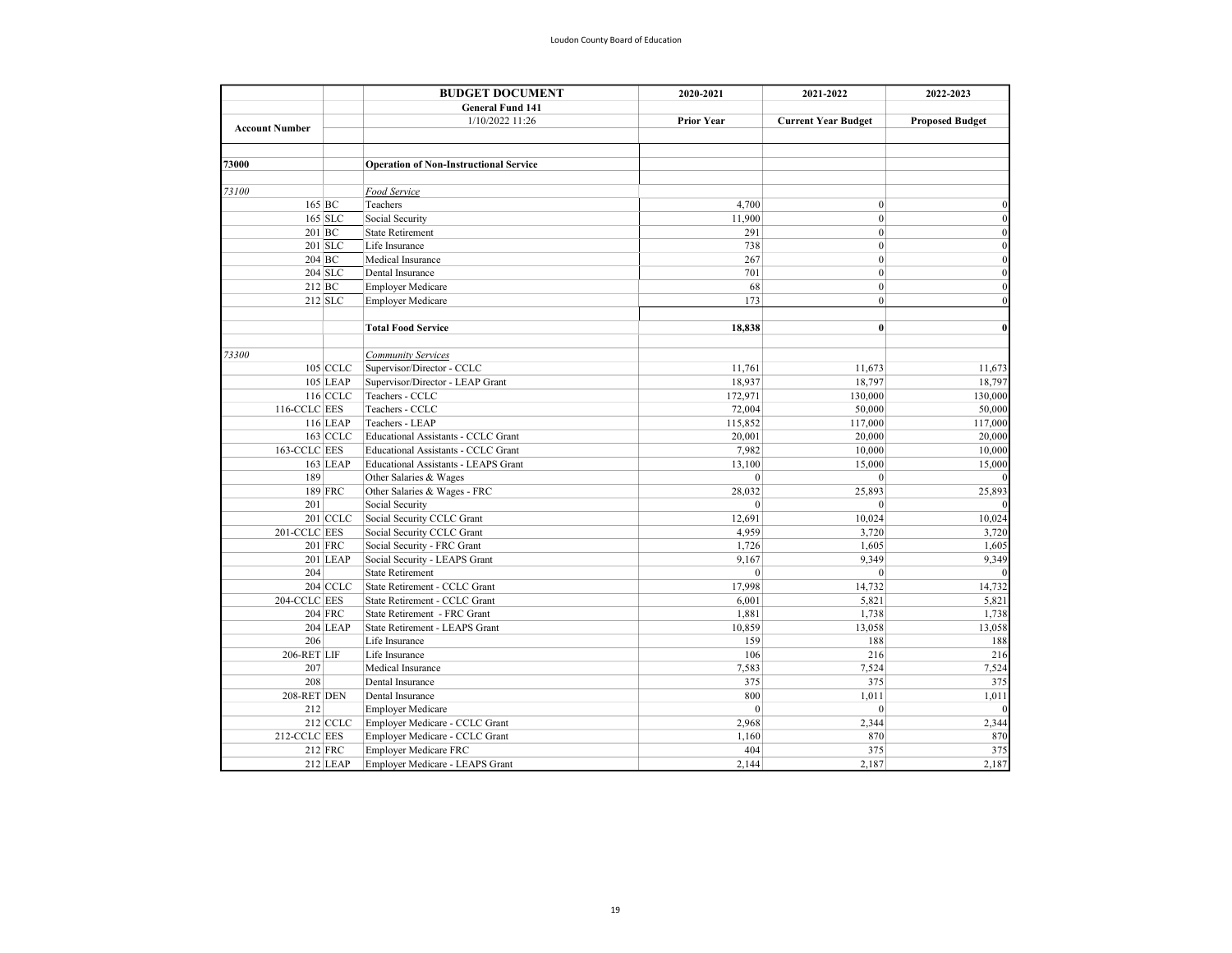|       |                       | <b>BUDGET DOCUMENT</b><br>2020-2021 | 2021-2022                                     | 2022-2023         |                            |                        |
|-------|-----------------------|-------------------------------------|-----------------------------------------------|-------------------|----------------------------|------------------------|
|       |                       |                                     | <b>General Fund 141</b>                       |                   |                            |                        |
|       |                       |                                     | 1/10/2022 11:26                               | <b>Prior Year</b> | <b>Current Year Budget</b> | <b>Proposed Budget</b> |
|       | <b>Account Number</b> |                                     |                                               |                   |                            |                        |
|       |                       |                                     |                                               |                   |                            |                        |
| 73000 |                       |                                     | <b>Operation of Non-Instructional Service</b> |                   |                            |                        |
| 73100 |                       |                                     | Food Service                                  |                   |                            |                        |
|       | $165$ BC              |                                     | Teachers                                      | 4,700             | $\mathbf{0}$               | $\Omega$               |
|       | $165$ SLC             |                                     | Social Security                               | 11,900            | $\mathbf{0}$               | $\Omega$               |
|       | 201 BC                |                                     | <b>State Retirement</b>                       | 291               | $\Omega$                   | $\Omega$               |
|       | $201$ SLC             |                                     | Life Insurance                                | 738               | $\mathbf{0}$               | $\Omega$               |
|       | $204$ BC              |                                     | Medical Insurance                             | 267               | $\mathbf{0}$               | $\Omega$               |
|       | $204$ SLC             |                                     | Dental Insurance                              | 701               | $\mathbf{0}$               | $\Omega$               |
|       | $212$ BC              |                                     | <b>Employer Medicare</b>                      | 68                | $\mathbf{0}$               | $\Omega$               |
|       | $212$ SLC             |                                     | <b>Employer Medicare</b>                      | 173               | $\mathbf{0}$               | $\Omega$               |
|       |                       |                                     |                                               |                   |                            |                        |
|       |                       |                                     | <b>Total Food Service</b>                     | 18,838            | $\mathbf{0}$               | $\mathbf{0}$           |
| 73300 |                       |                                     | <b>Community Services</b>                     |                   |                            |                        |
|       | 105 CCLC              |                                     | Supervisor/Director - CCLC                    | 11,761            | 11,673                     | 11,673                 |
|       | 105 LEAP              |                                     | Supervisor/Director - LEAP Grant              | 18,937            | 18,797                     | 18,797                 |
|       | 116 CCLC              |                                     | Teachers - CCLC                               | 172,971           | 130,000                    | 130,000                |
|       | 116-CCLC EES          |                                     | Teachers - CCLC                               | 72,004            | 50,000                     | 50,000                 |
|       | 116 LEAP              |                                     | Teachers - LEAP                               | 115,852           | 117,000                    | 117,000                |
|       | 163 CCLC              |                                     | Educational Assistants - CCLC Grant           | 20,001            | 20,000                     | 20,000                 |
|       | 163-CCLC EES          |                                     | Educational Assistants - CCLC Grant           | 7,982             | 10,000                     | 10,000                 |
|       | 163 LEAP              |                                     | Educational Assistants - LEAPS Grant          | 13,100            | 15,000                     | 15,000                 |
|       | 189                   |                                     | Other Salaries & Wages                        | $\theta$          | $\theta$                   |                        |
|       | 189 FRC               |                                     | Other Salaries & Wages - FRC                  | 28,032            | 25,893                     | 25,893                 |
|       | 201                   |                                     | Social Security                               | $\mathbf{0}$      | $\theta$                   |                        |
|       | 201 CCLC              |                                     | Social Security CCLC Grant                    | 12,691            | 10,024                     | 10,024                 |
|       | 201-CCLC EES          |                                     | Social Security CCLC Grant                    | 4,959             | 3,720                      | 3,720                  |
|       | 201 FRC               |                                     | Social Security - FRC Grant                   | 1,726             | 1,605                      | 1,605                  |
|       | 201 LEAP              |                                     | Social Security - LEAPS Grant                 | 9,167             | 9,349                      | 9,349                  |
|       | 204                   |                                     | <b>State Retirement</b>                       | $\theta$          | $\mathbf{0}$               |                        |
|       | 204 CCLC              |                                     | State Retirement - CCLC Grant                 | 17,998            | 14,732                     | 14,732                 |
|       | 204-CCLC EES          |                                     | State Retirement - CCLC Grant                 | 6,001             | 5,821                      | 5,821                  |
|       | <b>204 FRC</b>        |                                     | State Retirement - FRC Grant                  | 1,881             | 1,738                      | 1,738                  |
|       | 204 LEAP              |                                     | State Retirement - LEAPS Grant                | 10,859            | 13,058                     | 13,058                 |
|       | 206                   |                                     | Life Insurance                                | 159               | 188                        | 188                    |
|       | 206-RET LIF           |                                     | Life Insurance                                | 106               | 216                        | 216                    |
|       | 207                   |                                     | Medical Insurance                             | 7,583             | 7,524                      | 7,524                  |
|       | 208                   |                                     | Dental Insurance                              | 375               | 375                        | 375                    |
|       | 208-RET DEN           |                                     | Dental Insurance                              | 800               | 1,011                      | 1,011                  |
|       | 212                   |                                     | <b>Employer Medicare</b>                      | $\mathbf{0}$      | $\mathbf{0}$               |                        |
|       | 212 CCLC              |                                     | Employer Medicare - CCLC Grant                | 2,968             | 2,344                      | 2,344                  |
|       | 212-CCLC EES          |                                     | Employer Medicare - CCLC Grant                | 1,160             | 870                        | 870                    |
|       | 212 FRC               |                                     | <b>Employer Medicare FRC</b>                  | 404               | 375                        | 375                    |
|       | 212 LEAP              |                                     | Employer Medicare - LEAPS Grant               | 2,144             | 2,187                      | 2,187                  |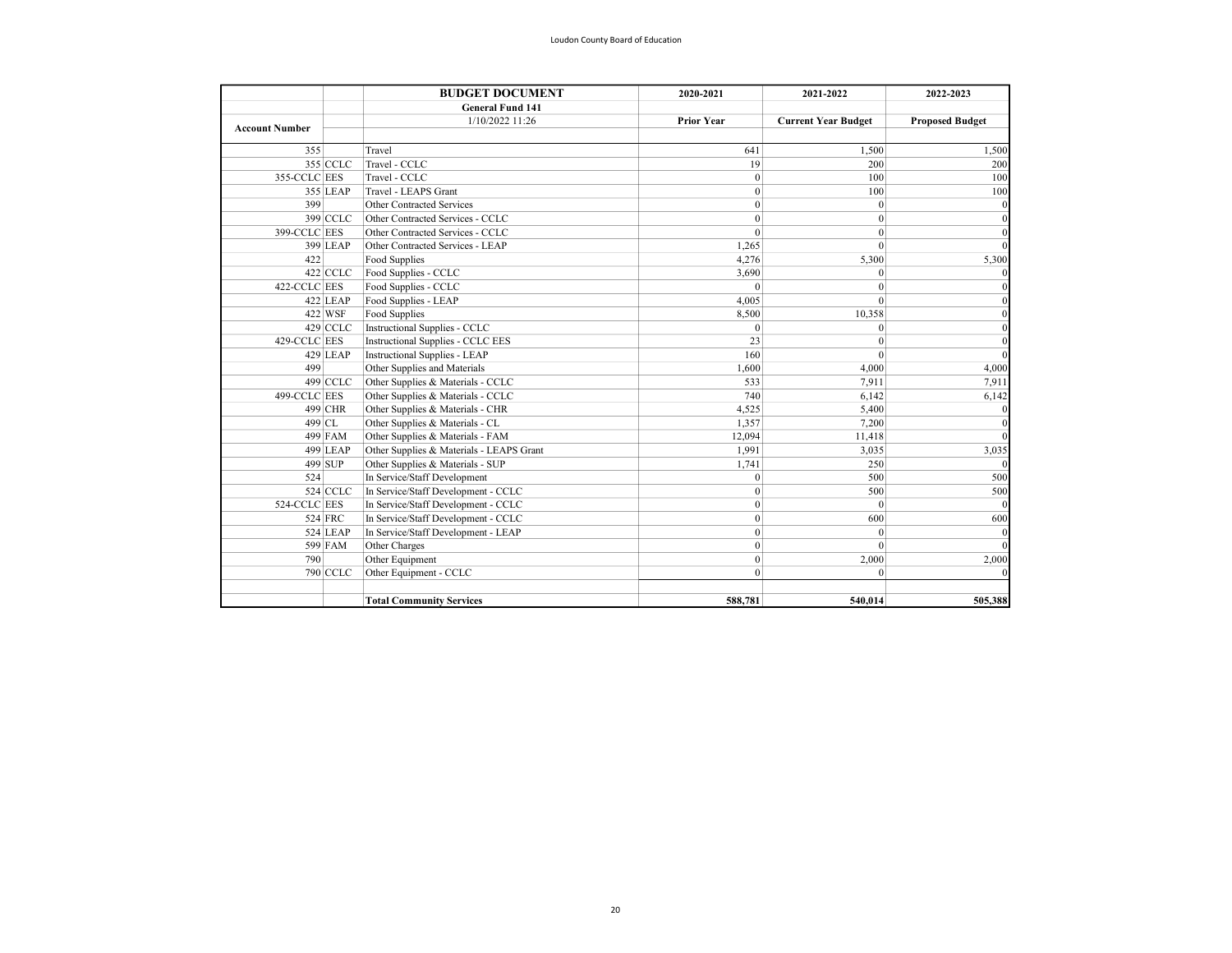|                       | <b>BUDGET DOCUMENT</b> | 2020-2021                                | 2021-2022         | 2022-2023                  |                        |
|-----------------------|------------------------|------------------------------------------|-------------------|----------------------------|------------------------|
|                       |                        | <b>General Fund 141</b>                  |                   |                            |                        |
| <b>Account Number</b> |                        | 1/10/2022 11:26                          | <b>Prior Year</b> | <b>Current Year Budget</b> | <b>Proposed Budget</b> |
| 355                   |                        | Travel                                   | 641               | 1,500                      | 1,500                  |
|                       | 355 CCLC               | Travel - CCLC                            | 19                | 200                        | 200                    |
| 355-CCLC EES          |                        | Travel - CCLC                            | $\mathbf{0}$      | 100                        | 100                    |
|                       | 355 LEAP               | Travel - LEAPS Grant                     | $\boldsymbol{0}$  | 100                        | 100                    |
| 399                   |                        | Other Contracted Services                | $\mathbf{0}$      | $\mathbf{0}$               |                        |
|                       | 399 CCLC               | Other Contracted Services - CCLC         | $\mathbf{0}$      | $\mathbf{0}$               |                        |
| 399-CCLC EES          |                        | Other Contracted Services - CCLC         | $\mathbf{0}$      | $\mathbf{0}$               |                        |
|                       | 399 LEAP               | Other Contracted Services - LEAP         | 1.265             | $\theta$                   |                        |
| 422                   |                        | Food Supplies                            | 4.276             | 5,300                      | 5,300                  |
|                       | $422$ CCLC             | Food Supplies - CCLC                     | 3,690             | $\mathbf{0}$               |                        |
| 422-CCLC EES          |                        | Food Supplies - CCLC                     | $\Omega$          | $\Omega$                   |                        |
|                       | $422$ LEAP             | Food Supplies - LEAP                     | 4,005             | $\theta$                   |                        |
|                       | 422 WSF                | Food Supplies                            | 8,500             | 10,358                     |                        |
|                       | 429 CCLC               | Instructional Supplies - CCLC            | $\Omega$          | $\theta$                   |                        |
| 429-CCLC EES          |                        | <b>Instructional Supplies - CCLC EES</b> | 23                | $\theta$                   |                        |
|                       | 429 LEAP               | <b>Instructional Supplies - LEAP</b>     | 160               | $\theta$                   |                        |
| 499                   |                        | Other Supplies and Materials             | 1,600             | 4,000                      | 4,000                  |
|                       | 499 CCLC               | Other Supplies & Materials - CCLC        | 533               | 7,911                      | 7,911                  |
| 499-CCLC EES          |                        | Other Supplies & Materials - CCLC        | 740               | 6,142                      | 6,142                  |
|                       | 499 CHR                | Other Supplies & Materials - CHR         | 4,525             | 5,400                      |                        |
|                       | 499 CL                 | Other Supplies & Materials - CL          | 1,357             | 7,200                      |                        |
|                       | 499 FAM                | Other Supplies & Materials - FAM         | 12.094            | 11,418                     |                        |
|                       | 499 LEAP               | Other Supplies & Materials - LEAPS Grant | 1.991             | 3,035                      | 3,035                  |
|                       | 499 SUP                | Other Supplies & Materials - SUP         | 1,741             | 250                        |                        |
| 524                   |                        | In Service/Staff Development             | $\theta$          | 500                        | 500                    |
|                       | 524 CCLC               | In Service/Staff Development - CCLC      | $\mathbf{0}$      | 500                        | 500                    |
| 524-CCLC EES          |                        | In Service/Staff Development - CCLC      | $\mathbf{0}$      | $\mathbf{0}$               |                        |
|                       | 524 FRC                | In Service/Staff Development - CCLC      | $\mathbf{0}$      | 600                        | 600                    |
|                       | 524 LEAP               | In Service/Staff Development - LEAP      | $\mathbf{0}$      | $\mathbf{0}$               |                        |
|                       | 599 FAM                | Other Charges                            | $\mathbf{0}$      | $\theta$                   |                        |
| 790                   |                        | Other Equipment                          | $\mathbf{0}$      | 2,000                      | 2,000                  |
|                       | 790 CCLC               | Other Equipment - CCLC                   | $\mathbf{0}$      | $\mathbf{0}$               |                        |
|                       |                        | <b>Total Community Services</b>          | 588,781           | 540,014                    | 505,388                |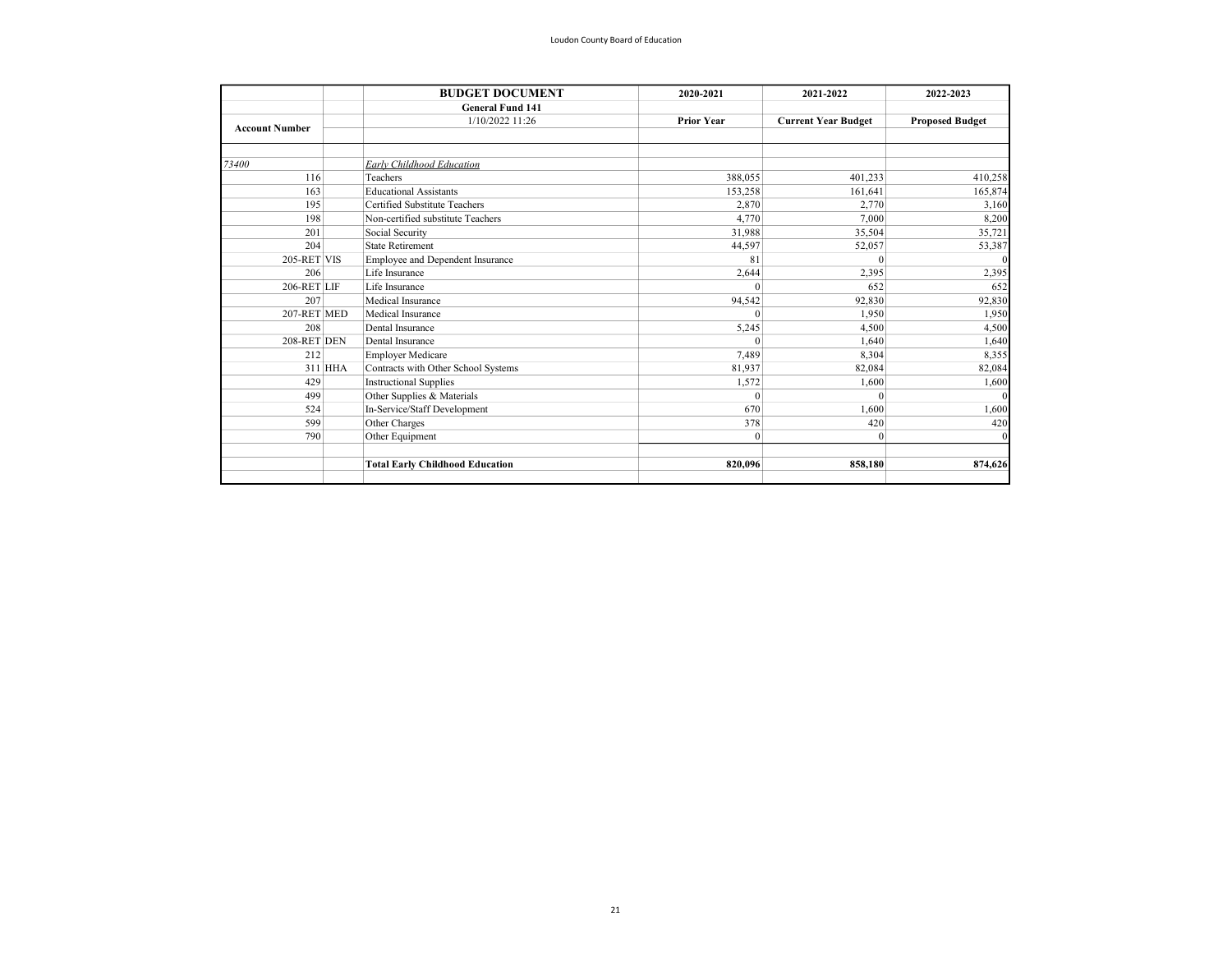|                       |         | <b>BUDGET DOCUMENT</b>                 | 2020-2021         | 2021-2022                  | 2022-2023              |
|-----------------------|---------|----------------------------------------|-------------------|----------------------------|------------------------|
|                       |         | <b>General Fund 141</b>                |                   |                            |                        |
| <b>Account Number</b> |         | 1/10/2022 11:26                        | <b>Prior Year</b> | <b>Current Year Budget</b> | <b>Proposed Budget</b> |
|                       |         |                                        |                   |                            |                        |
| 73400                 |         | Early Childhood Education              |                   |                            |                        |
| 116                   |         | Teachers                               | 388,055           | 401,233                    | 410,258                |
| 163                   |         | <b>Educational Assistants</b>          | 153,258           | 161,641                    | 165,874                |
| 195                   |         | Certified Substitute Teachers          | 2,870             | 2,770                      | 3,160                  |
| 198                   |         | Non-certified substitute Teachers      | 4,770             | 7,000                      | 8,200                  |
| 201                   |         | Social Security                        | 31,988            | 35,504                     | 35,721                 |
| 204                   |         | <b>State Retirement</b>                | 44,597            | 52,057                     | 53,387                 |
| 205-RET VIS           |         | Employee and Dependent Insurance       | 81                | $\Omega$                   |                        |
| 206                   |         | Life Insurance                         | 2,644             | 2,395                      | 2,395                  |
| 206-RET LIF           |         | Life Insurance                         | $\theta$          | 652                        | 652                    |
| 207                   |         | Medical Insurance                      | 94,542            | 92,830                     | 92,830                 |
| 207-RET MED           |         | Medical Insurance                      | $\Omega$          | 1,950                      | 1,950                  |
| 208                   |         | Dental Insurance                       | 5,245             | 4,500                      | 4,500                  |
| 208-RET DEN           |         | Dental Insurance                       | $\theta$          | 1,640                      | 1,640                  |
| 212                   |         | <b>Employer Medicare</b>               | 7,489             | 8,304                      | 8,355                  |
|                       | 311 HHA | Contracts with Other School Systems    | 81,937            | 82,084                     | 82,084                 |
| 429                   |         | <b>Instructional Supplies</b>          | 1,572             | 1,600                      | 1,600                  |
| 499                   |         | Other Supplies & Materials             | $\Omega$          | $\Omega$                   |                        |
| 524                   |         | In-Service/Staff Development           | 670               | 1.600                      | 1,600                  |
| 599                   |         | Other Charges                          | 378               | 420                        | 420                    |
| 790                   |         | Other Equipment                        | $\mathbf{0}$      | $\Omega$                   |                        |
|                       |         | <b>Total Early Childhood Education</b> | 820,096           | 858,180                    | 874,626                |
|                       |         |                                        |                   |                            |                        |